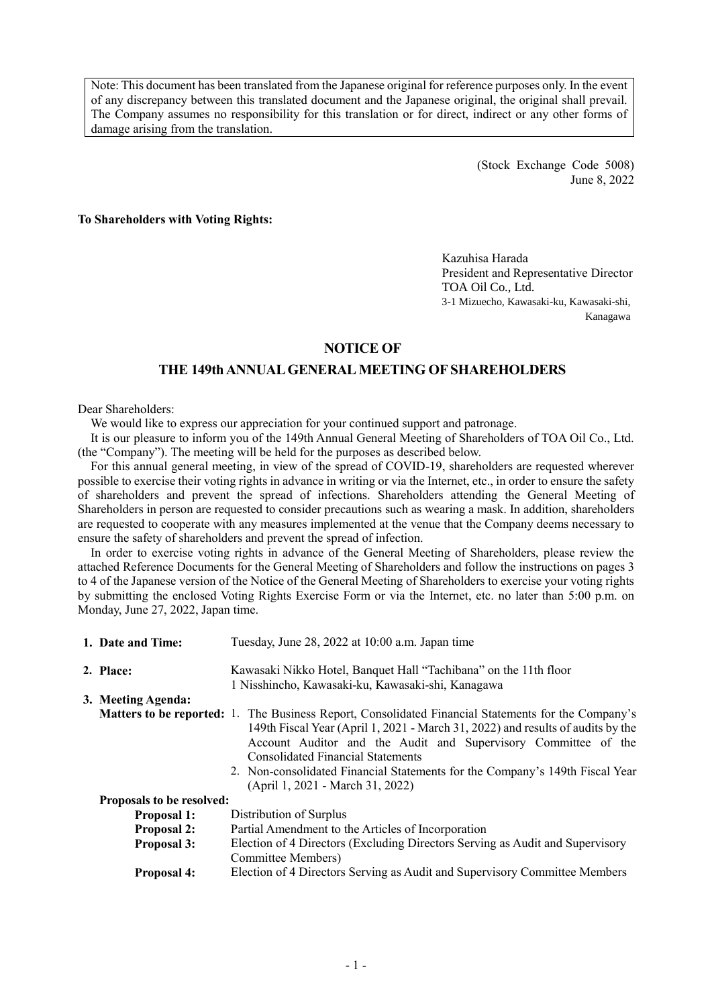Note: This document has been translated from the Japanese original for reference purposes only. In the event of any discrepancy between this translated document and the Japanese original, the original shall prevail. The Company assumes no responsibility for this translation or for direct, indirect or any other forms of damage arising from the translation.

> (Stock Exchange Code 5008) June 8, 2022

#### **To Shareholders with Voting Rights:**

Kazuhisa Harada President and Representative Director TOA Oil Co., Ltd. 3-1 Mizuecho, Kawasaki-ku, Kawasaki-shi, Kanagawa

#### **NOTICE OF**

#### **THE 149th ANNUAL GENERAL MEETING OF SHAREHOLDERS**

#### Dear Shareholders:

We would like to express our appreciation for your continued support and patronage.

It is our pleasure to inform you of the 149th Annual General Meeting of Shareholders of TOA Oil Co., Ltd. (the "Company"). The meeting will be held for the purposes as described below.

For this annual general meeting, in view of the spread of COVID-19, shareholders are requested wherever possible to exercise their voting rights in advance in writing or via the Internet, etc., in order to ensure the safety of shareholders and prevent the spread of infections. Shareholders attending the General Meeting of Shareholders in person are requested to consider precautions such as wearing a mask. In addition, shareholders are requested to cooperate with any measures implemented at the venue that the Company deems necessary to ensure the safety of shareholders and prevent the spread of infection.

In order to exercise voting rights in advance of the General Meeting of Shareholders, please review the attached Reference Documents for the General Meeting of Shareholders and follow the instructions on pages 3 to 4 of the Japanese version of the Notice of the General Meeting of Shareholders to exercise your voting rights by submitting the enclosed Voting Rights Exercise Form or via the Internet, etc. no later than 5:00 p.m. on Monday, June 27, 2022, Japan time.

| 1. Date and Time:                | Tuesday, June 28, 2022 at 10:00 a.m. Japan time                                                                                                                                                                                                                                                                                                                                                                                 |  |
|----------------------------------|---------------------------------------------------------------------------------------------------------------------------------------------------------------------------------------------------------------------------------------------------------------------------------------------------------------------------------------------------------------------------------------------------------------------------------|--|
| 2. Place:                        | Kawasaki Nikko Hotel, Banquet Hall "Tachibana" on the 11th floor<br>1 Nisshincho, Kawasaki-ku, Kawasaki-shi, Kanagawa                                                                                                                                                                                                                                                                                                           |  |
| 3. Meeting Agenda:               |                                                                                                                                                                                                                                                                                                                                                                                                                                 |  |
|                                  | <b>Matters to be reported:</b> 1. The Business Report, Consolidated Financial Statements for the Company's<br>149th Fiscal Year (April 1, 2021 - March 31, 2022) and results of audits by the<br>Account Auditor and the Audit and Supervisory Committee of the<br><b>Consolidated Financial Statements</b><br>2. Non-consolidated Financial Statements for the Company's 149th Fiscal Year<br>(April 1, 2021 - March 31, 2022) |  |
| <b>Proposals to be resolved:</b> |                                                                                                                                                                                                                                                                                                                                                                                                                                 |  |
| Proposal 1:                      | Distribution of Surplus                                                                                                                                                                                                                                                                                                                                                                                                         |  |
| <b>Proposal 2:</b>               | Partial Amendment to the Articles of Incorporation                                                                                                                                                                                                                                                                                                                                                                              |  |
| <b>Proposal 3:</b>               | Election of 4 Directors (Excluding Directors Serving as Audit and Supervisory<br>Committee Members)                                                                                                                                                                                                                                                                                                                             |  |
| <b>Proposal 4:</b>               | Election of 4 Directors Serving as Audit and Supervisory Committee Members                                                                                                                                                                                                                                                                                                                                                      |  |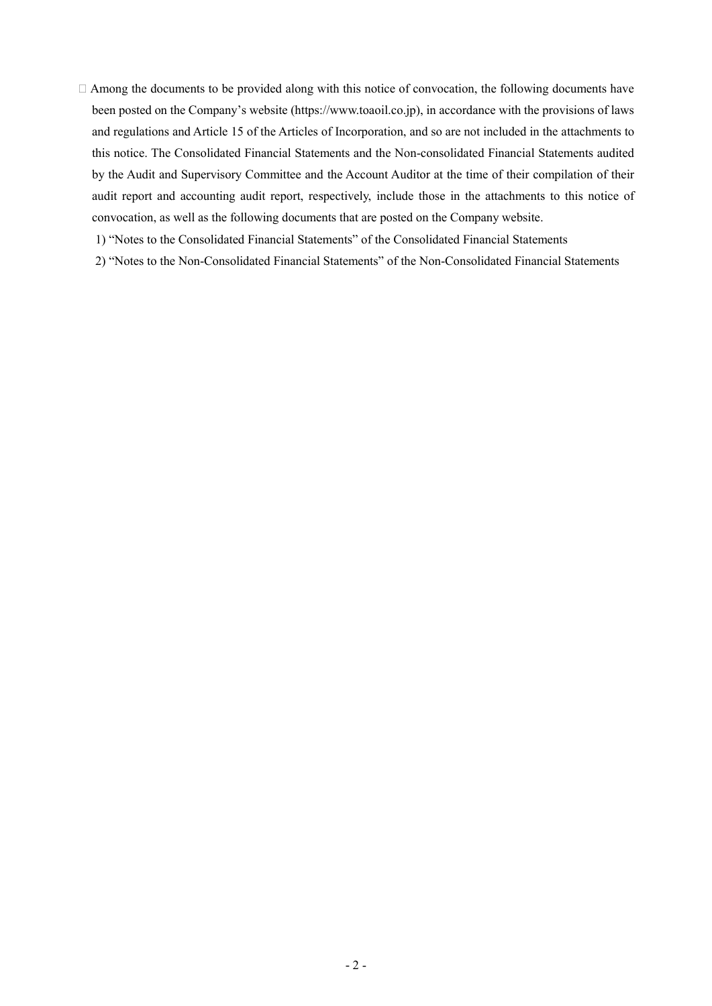$\Box$  Among the documents to be provided along with this notice of convocation, the following documents have been posted on the Company's website (https://www.toaoil.co.jp), in accordance with the provisions of laws and regulations and Article 15 of the Articles of Incorporation, and so are not included in the attachments to this notice. The Consolidated Financial Statements and the Non-consolidated Financial Statements audited by the Audit and Supervisory Committee and the Account Auditor at the time of their compilation of their audit report and accounting audit report, respectively, include those in the attachments to this notice of convocation, as well as the following documents that are posted on the Company website.

1) "Notes to the Consolidated Financial Statements" of the Consolidated Financial Statements

2) "Notes to the Non-Consolidated Financial Statements" of the Non-Consolidated Financial Statements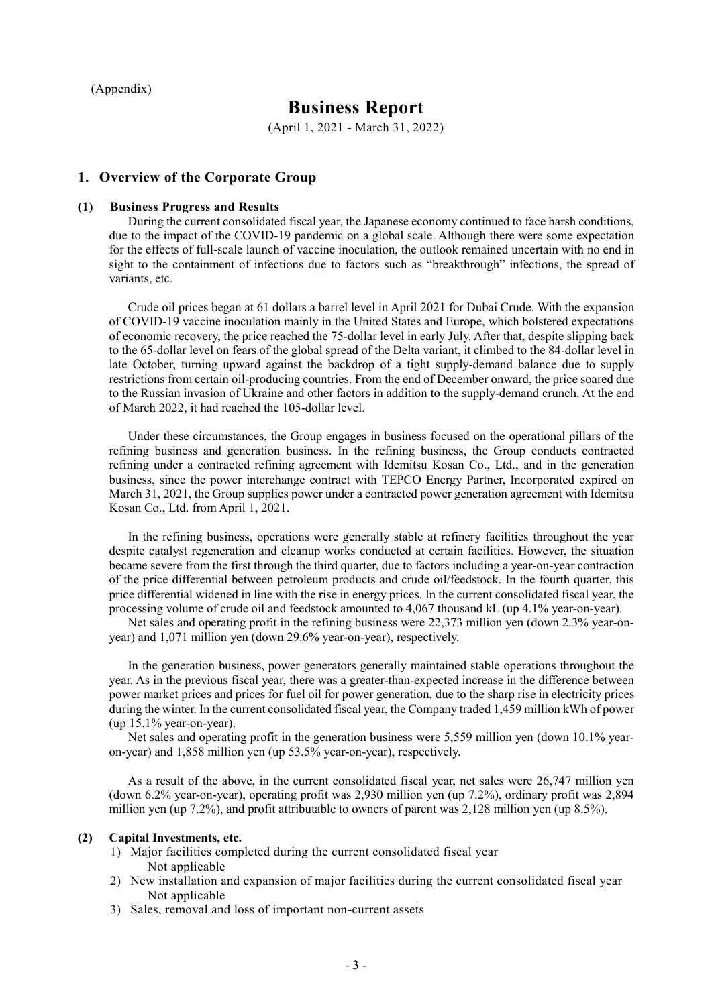(Appendix)

### **Business Report**

(April 1, 2021 - March 31, 2022)

#### **1. Overview of the Corporate Group**

#### **(1) Business Progress and Results**

During the current consolidated fiscal year, the Japanese economy continued to face harsh conditions, due to the impact of the COVID-19 pandemic on a global scale. Although there were some expectation for the effects of full-scale launch of vaccine inoculation, the outlook remained uncertain with no end in sight to the containment of infections due to factors such as "breakthrough" infections, the spread of variants, etc.

Crude oil prices began at 61 dollars a barrel level in April 2021 for Dubai Crude. With the expansion of COVID-19 vaccine inoculation mainly in the United States and Europe, which bolstered expectations of economic recovery, the price reached the 75-dollar level in early July. After that, despite slipping back to the 65-dollar level on fears of the global spread of the Delta variant, it climbed to the 84-dollar level in late October, turning upward against the backdrop of a tight supply-demand balance due to supply restrictions from certain oil-producing countries. From the end of December onward, the price soared due to the Russian invasion of Ukraine and other factors in addition to the supply-demand crunch. At the end of March 2022, it had reached the 105-dollar level.

Under these circumstances, the Group engages in business focused on the operational pillars of the refining business and generation business. In the refining business, the Group conducts contracted refining under a contracted refining agreement with Idemitsu Kosan Co., Ltd., and in the generation business, since the power interchange contract with TEPCO Energy Partner, Incorporated expired on March 31, 2021, the Group supplies power under a contracted power generation agreement with Idemitsu Kosan Co., Ltd. from April 1, 2021.

In the refining business, operations were generally stable at refinery facilities throughout the year despite catalyst regeneration and cleanup works conducted at certain facilities. However, the situation became severe from the first through the third quarter, due to factors including a year-on-year contraction of the price differential between petroleum products and crude oil/feedstock. In the fourth quarter, this price differential widened in line with the rise in energy prices. In the current consolidated fiscal year, the processing volume of crude oil and feedstock amounted to 4,067 thousand kL (up 4.1% year-on-year).

Net sales and operating profit in the refining business were 22,373 million yen (down 2.3% year-onyear) and 1,071 million yen (down 29.6% year-on-year), respectively.

In the generation business, power generators generally maintained stable operations throughout the year. As in the previous fiscal year, there was a greater-than-expected increase in the difference between power market prices and prices for fuel oil for power generation, due to the sharp rise in electricity prices during the winter. In the current consolidated fiscal year, the Company traded 1,459 million kWh of power (up 15.1% year-on-year).

Net sales and operating profit in the generation business were 5,559 million yen (down 10.1% yearon-year) and 1,858 million yen (up 53.5% year-on-year), respectively.

As a result of the above, in the current consolidated fiscal year, net sales were 26,747 million yen (down 6.2% year-on-year), operating profit was 2,930 million yen (up 7.2%), ordinary profit was 2,894 million yen (up 7.2%), and profit attributable to owners of parent was 2,128 million yen (up 8.5%).

#### **(2) Capital Investments, etc.**

- 1) Major facilities completed during the current consolidated fiscal year Not applicable
- 2) New installation and expansion of major facilities during the current consolidated fiscal year Not applicable
- 3) Sales, removal and loss of important non-current assets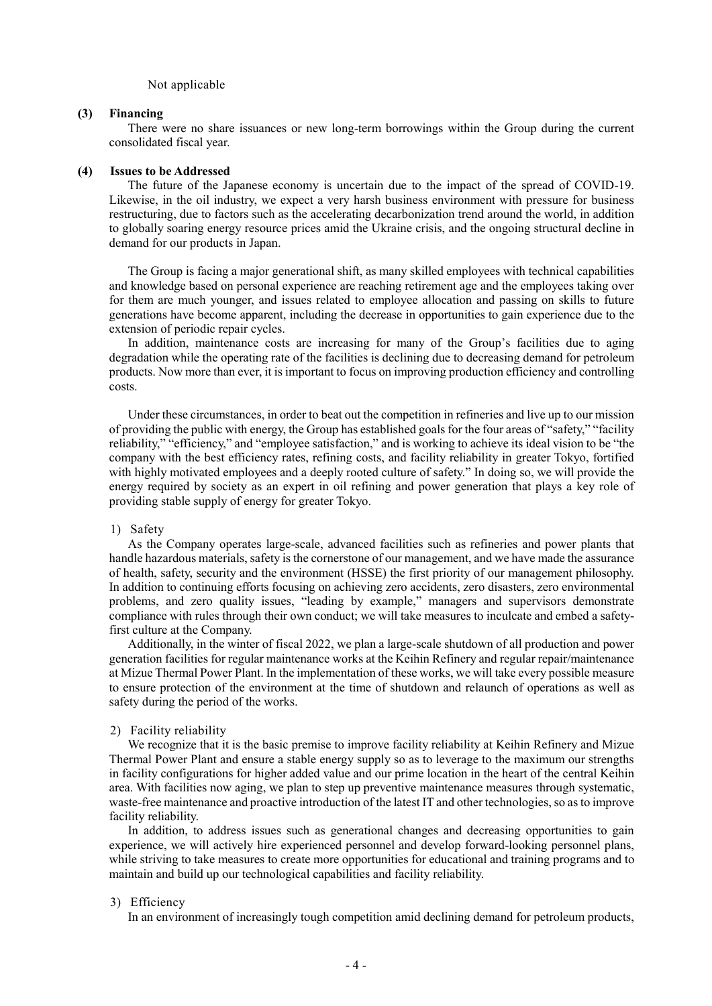#### Not applicable

#### **(3) Financing**

There were no share issuances or new long-term borrowings within the Group during the current consolidated fiscal year.

#### **(4) Issues to be Addressed**

The future of the Japanese economy is uncertain due to the impact of the spread of COVID-19. Likewise, in the oil industry, we expect a very harsh business environment with pressure for business restructuring, due to factors such as the accelerating decarbonization trend around the world, in addition to globally soaring energy resource prices amid the Ukraine crisis, and the ongoing structural decline in demand for our products in Japan.

The Group is facing a major generational shift, as many skilled employees with technical capabilities and knowledge based on personal experience are reaching retirement age and the employees taking over for them are much younger, and issues related to employee allocation and passing on skills to future generations have become apparent, including the decrease in opportunities to gain experience due to the extension of periodic repair cycles.

In addition, maintenance costs are increasing for many of the Group's facilities due to aging degradation while the operating rate of the facilities is declining due to decreasing demand for petroleum products. Now more than ever, it is important to focus on improving production efficiency and controlling costs.

Under these circumstances, in order to beat out the competition in refineries and live up to our mission of providing the public with energy, the Group has established goals for the four areas of "safety," "facility reliability," "efficiency," and "employee satisfaction," and is working to achieve its ideal vision to be "the company with the best efficiency rates, refining costs, and facility reliability in greater Tokyo, fortified with highly motivated employees and a deeply rooted culture of safety." In doing so, we will provide the energy required by society as an expert in oil refining and power generation that plays a key role of providing stable supply of energy for greater Tokyo.

#### 1) Safety

As the Company operates large-scale, advanced facilities such as refineries and power plants that handle hazardous materials, safety is the cornerstone of our management, and we have made the assurance of health, safety, security and the environment (HSSE) the first priority of our management philosophy. In addition to continuing efforts focusing on achieving zero accidents, zero disasters, zero environmental problems, and zero quality issues, "leading by example," managers and supervisors demonstrate compliance with rules through their own conduct; we will take measures to inculcate and embed a safetyfirst culture at the Company.

Additionally, in the winter of fiscal 2022, we plan a large-scale shutdown of all production and power generation facilities for regular maintenance works at the Keihin Refinery and regular repair/maintenance at Mizue Thermal Power Plant. In the implementation of these works, we will take every possible measure to ensure protection of the environment at the time of shutdown and relaunch of operations as well as safety during the period of the works.

#### 2) Facility reliability

We recognize that it is the basic premise to improve facility reliability at Keihin Refinery and Mizue Thermal Power Plant and ensure a stable energy supply so as to leverage to the maximum our strengths in facility configurations for higher added value and our prime location in the heart of the central Keihin area. With facilities now aging, we plan to step up preventive maintenance measures through systematic, waste-free maintenance and proactive introduction of the latest IT and other technologies, so as to improve facility reliability.

In addition, to address issues such as generational changes and decreasing opportunities to gain experience, we will actively hire experienced personnel and develop forward-looking personnel plans, while striving to take measures to create more opportunities for educational and training programs and to maintain and build up our technological capabilities and facility reliability.

#### 3) Efficiency

In an environment of increasingly tough competition amid declining demand for petroleum products,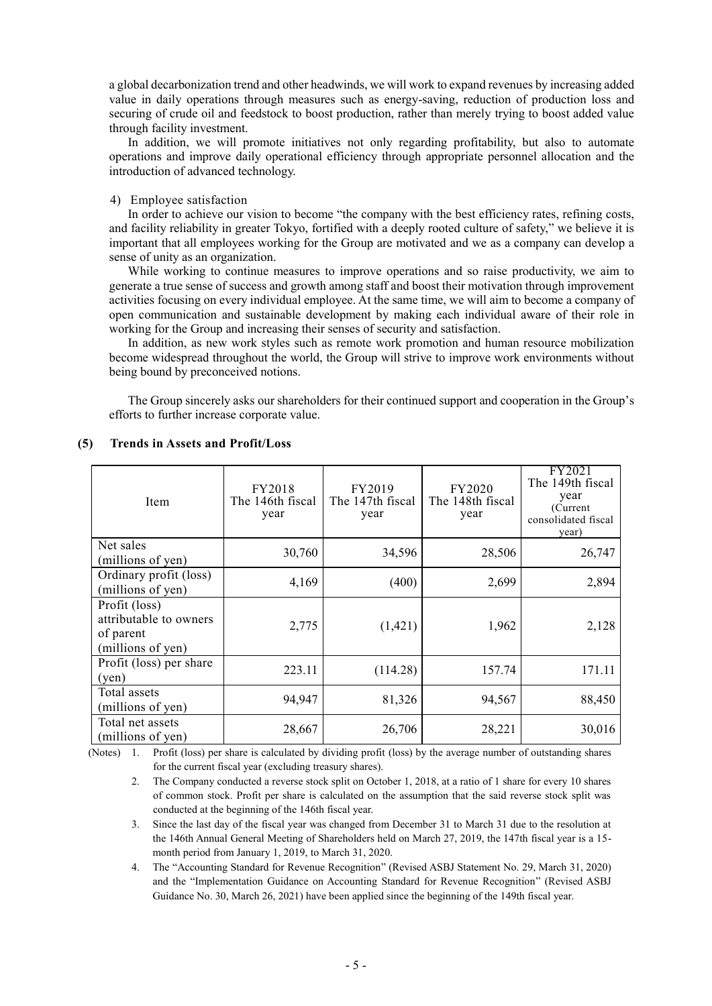a global decarbonization trend and other headwinds, we will work to expand revenues by increasing added value in daily operations through measures such as energy-saving, reduction of production loss and securing of crude oil and feedstock to boost production, rather than merely trying to boost added value through facility investment.

In addition, we will promote initiatives not only regarding profitability, but also to automate operations and improve daily operational efficiency through appropriate personnel allocation and the introduction of advanced technology.

#### 4) Employee satisfaction

In order to achieve our vision to become "the company with the best efficiency rates, refining costs, and facility reliability in greater Tokyo, fortified with a deeply rooted culture of safety," we believe it is important that all employees working for the Group are motivated and we as a company can develop a sense of unity as an organization.

While working to continue measures to improve operations and so raise productivity, we aim to generate a true sense of success and growth among staff and boost their motivation through improvement activities focusing on every individual employee. At the same time, we will aim to become a company of open communication and sustainable development by making each individual aware of their role in working for the Group and increasing their senses of security and satisfaction.

In addition, as new work styles such as remote work promotion and human resource mobilization become widespread throughout the world, the Group will strive to improve work environments without being bound by preconceived notions.

The Group sincerely asks our shareholders for their continued support and cooperation in the Group's efforts to further increase corporate value.

| Item                                                                      | FY2018<br>The 146th fiscal<br>year | FY2019<br>The 147th fiscal<br>year | FY2020<br>The 148th fiscal<br>year | FY2021<br>The 149th fiscal<br>year<br>(Current)<br>consolidated fiscal<br>year) |
|---------------------------------------------------------------------------|------------------------------------|------------------------------------|------------------------------------|---------------------------------------------------------------------------------|
| Net sales<br>(millions of yen)                                            | 30,760                             | 34,596                             | 28,506                             | 26,747                                                                          |
| Ordinary profit (loss)<br>(millions of yen)                               | 4,169                              | (400)                              | 2,699                              | 2,894                                                                           |
| Profit (loss)<br>attributable to owners<br>of parent<br>(millions of yen) | 2,775                              | (1,421)                            | 1,962                              | 2,128                                                                           |
| Profit (loss) per share<br>$($ yen)                                       | 223.11                             | (114.28)                           | 157.74                             | 171.11                                                                          |
| Total assets<br>(millions of yen)                                         | 94,947                             | 81,326                             | 94,567                             | 88,450                                                                          |
| Total net assets<br>(millions of yen)                                     | 28,667                             | 26,706                             | 28,221                             | 30,016                                                                          |

#### **(5) Trends in Assets and Profit/Loss**

(Notes) 1. Profit (loss) per share is calculated by dividing profit (loss) by the average number of outstanding shares for the current fiscal year (excluding treasury shares).

2. The Company conducted a reverse stock split on October 1, 2018, at a ratio of 1 share for every 10 shares of common stock. Profit per share is calculated on the assumption that the said reverse stock split was conducted at the beginning of the 146th fiscal year.

Since the last day of the fiscal year was changed from December 31 to March 31 due to the resolution at the 146th Annual General Meeting of Shareholders held on March 27, 2019, the 147th fiscal year is a 15 month period from January 1, 2019, to March 31, 2020.

4. The "Accounting Standard for Revenue Recognition" (Revised ASBJ Statement No. 29, March 31, 2020) and the "Implementation Guidance on Accounting Standard for Revenue Recognition" (Revised ASBJ Guidance No. 30, March 26, 2021) have been applied since the beginning of the 149th fiscal year.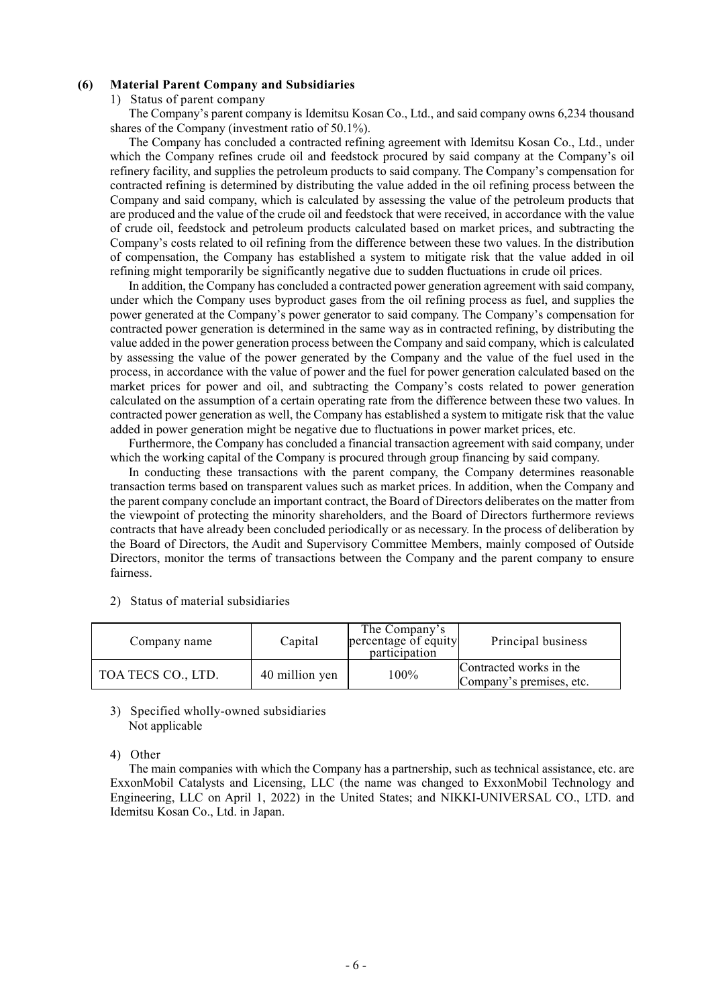#### **(6) Material Parent Company and Subsidiaries**

1) Status of parent company

The Company's parent company is Idemitsu Kosan Co., Ltd., and said company owns 6,234 thousand shares of the Company (investment ratio of 50.1%).

The Company has concluded a contracted refining agreement with Idemitsu Kosan Co., Ltd., under which the Company refines crude oil and feedstock procured by said company at the Company's oil refinery facility, and supplies the petroleum products to said company. The Company's compensation for contracted refining is determined by distributing the value added in the oil refining process between the Company and said company, which is calculated by assessing the value of the petroleum products that are produced and the value of the crude oil and feedstock that were received, in accordance with the value of crude oil, feedstock and petroleum products calculated based on market prices, and subtracting the Company's costs related to oil refining from the difference between these two values. In the distribution of compensation, the Company has established a system to mitigate risk that the value added in oil refining might temporarily be significantly negative due to sudden fluctuations in crude oil prices.

In addition, the Company has concluded a contracted power generation agreement with said company, under which the Company uses byproduct gases from the oil refining process as fuel, and supplies the power generated at the Company's power generator to said company. The Company's compensation for contracted power generation is determined in the same way as in contracted refining, by distributing the value added in the power generation process between the Company and said company, which is calculated by assessing the value of the power generated by the Company and the value of the fuel used in the process, in accordance with the value of power and the fuel for power generation calculated based on the market prices for power and oil, and subtracting the Company's costs related to power generation calculated on the assumption of a certain operating rate from the difference between these two values. In contracted power generation as well, the Company has established a system to mitigate risk that the value added in power generation might be negative due to fluctuations in power market prices, etc.

Furthermore, the Company has concluded a financial transaction agreement with said company, under which the working capital of the Company is procured through group financing by said company.

In conducting these transactions with the parent company, the Company determines reasonable transaction terms based on transparent values such as market prices. In addition, when the Company and the parent company conclude an important contract, the Board of Directors deliberates on the matter from the viewpoint of protecting the minority shareholders, and the Board of Directors furthermore reviews contracts that have already been concluded periodically or as necessary. In the process of deliberation by the Board of Directors, the Audit and Supervisory Committee Members, mainly composed of Outside Directors, monitor the terms of transactions between the Company and the parent company to ensure fairness.

2) Status of material subsidiaries

| Company name       | Capital        | The Company's<br>percentage of equity<br>participation | Principal business                                  |
|--------------------|----------------|--------------------------------------------------------|-----------------------------------------------------|
| TOA TECS CO., LTD. | 40 million yen | $100\%$                                                | Contracted works in the<br>Company's premises, etc. |

- 3) Specified wholly-owned subsidiaries Not applicable
- 4) Other

The main companies with which the Company has a partnership, such as technical assistance, etc. are ExxonMobil Catalysts and Licensing, LLC (the name was changed to ExxonMobil Technology and Engineering, LLC on April 1, 2022) in the United States; and NIKKI-UNIVERSAL CO., LTD. and Idemitsu Kosan Co., Ltd. in Japan.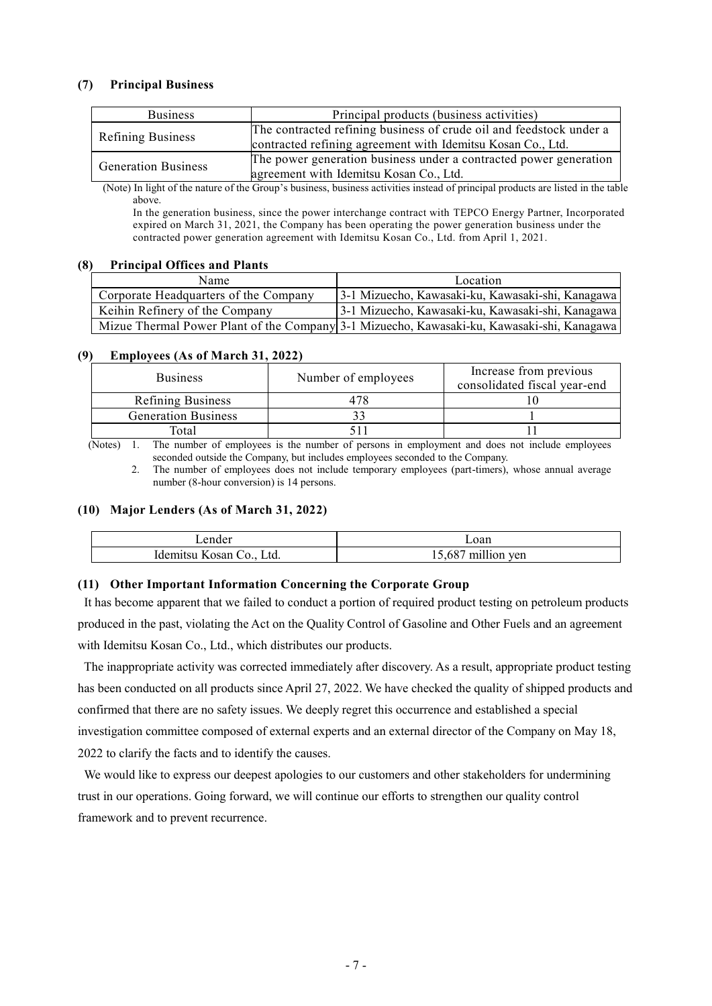#### **(7) Principal Business**

| <b>Business</b>            | Principal products (business activities)                                                                                           |
|----------------------------|------------------------------------------------------------------------------------------------------------------------------------|
| <b>Refining Business</b>   | The contracted refining business of crude oil and feedstock under a<br>contracted refining agreement with Idemitsu Kosan Co., Ltd. |
| <b>Generation Business</b> | The power generation business under a contracted power generation<br>agreement with Idemitsu Kosan Co., Ltd.                       |

(Note) In light of the nature of the Group's business, business activities instead of principal products are listed in the table above.

In the generation business, since the power interchange contract with TEPCO Energy Partner, Incorporated expired on March 31, 2021, the Company has been operating the power generation business under the contracted power generation agreement with Idemitsu Kosan Co., Ltd. from April 1, 2021.

#### **(8) Principal Offices and Plants**

| Name                                  | Location                                                                                   |
|---------------------------------------|--------------------------------------------------------------------------------------------|
| Corporate Headquarters of the Company | 3-1 Mizuecho, Kawasaki-ku, Kawasaki-shi, Kanagawa                                          |
| Keihin Refinery of the Company        | 3-1 Mizuecho, Kawasaki-ku, Kawasaki-shi, Kanagawa                                          |
|                                       | Mizue Thermal Power Plant of the Company 3-1 Mizuecho, Kawasaki-ku, Kawasaki-shi, Kanagawa |

#### **(9) Employees (As of March 31, 2022)**

| <b>Business</b>                                                                                                                         | Number of employees | Increase from previous<br>consolidated fiscal year-end |  |  |
|-----------------------------------------------------------------------------------------------------------------------------------------|---------------------|--------------------------------------------------------|--|--|
| <b>Refining Business</b>                                                                                                                |                     |                                                        |  |  |
| <b>Generation Business</b>                                                                                                              |                     |                                                        |  |  |
| Total                                                                                                                                   |                     |                                                        |  |  |
| $(\mathbf{N}_{\mathbf{a}}^{\dagger}$<br>The number of qualation is the number of noncons in smalerment and does not include annulations |                     |                                                        |  |  |

(Notes) 1. The number of employees is the number of persons in employment and does not include employees seconded outside the Company, but includes employees seconded to the Company.

2. The number of employees does not include temporary employees (part-timers), whose annual average number (8-hour conversion) is 14 persons.

#### **(10) Major Lenders (As of March 31, 2022)**

| ender                    | oan.                         |
|--------------------------|------------------------------|
| Ltd.<br>idemitsu<br>osan | <br>$.68-$<br>yen<br>million |

#### **(11) Other Important Information Concerning the Corporate Group**

It has become apparent that we failed to conduct a portion of required product testing on petroleum products produced in the past, violating the Act on the Quality Control of Gasoline and Other Fuels and an agreement with Idemitsu Kosan Co., Ltd., which distributes our products.

The inappropriate activity was corrected immediately after discovery. As a result, appropriate product testing has been conducted on all products since April 27, 2022. We have checked the quality of shipped products and confirmed that there are no safety issues. We deeply regret this occurrence and established a special investigation committee composed of external experts and an external director of the Company on May 18, 2022 to clarify the facts and to identify the causes.

We would like to express our deepest apologies to our customers and other stakeholders for undermining trust in our operations. Going forward, we will continue our efforts to strengthen our quality control framework and to prevent recurrence.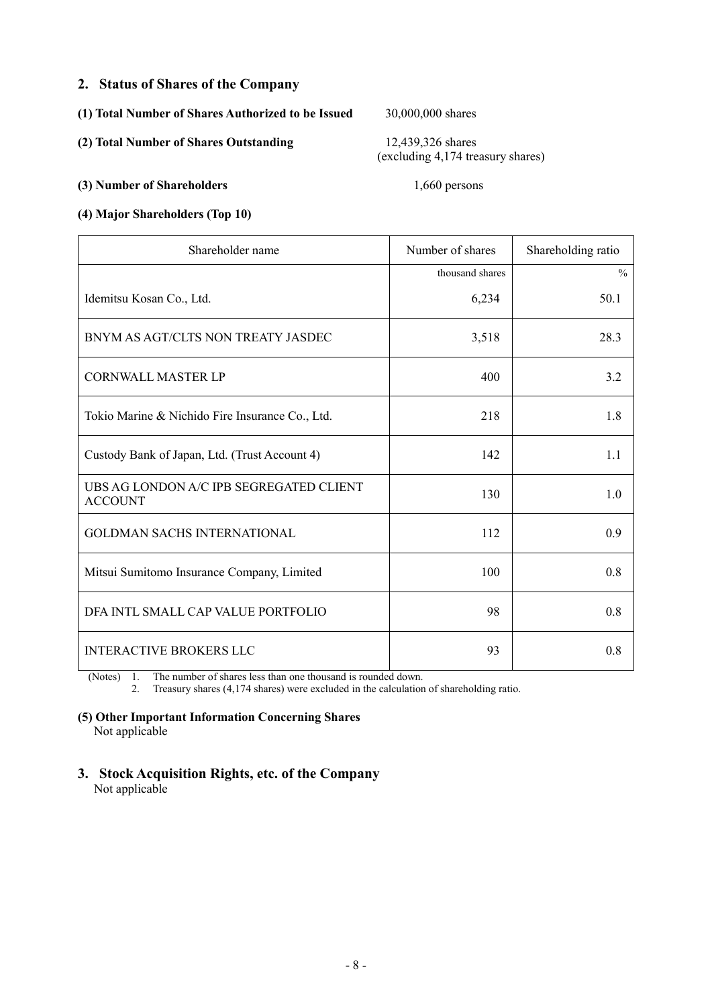### **2. Status of Shares of the Company**

#### **(1) Total Number of Shares Authorized to be Issued** 30,000,000 shares

#### **(2) Total Number of Shares Outstanding** 12,439,326 shares

(excluding 4,174 treasury shares)

#### **(3) Number of Shareholders** 1,660 persons

# **(4) Major Shareholders (Top 10)**

| Shareholder name                                          | Number of shares | Shareholding ratio |
|-----------------------------------------------------------|------------------|--------------------|
|                                                           | thousand shares  | $\frac{0}{0}$      |
| Idemitsu Kosan Co., Ltd.                                  | 6,234            | 50.1               |
| BNYM AS AGT/CLTS NON TREATY JASDEC                        | 3,518            | 28.3               |
| <b>CORNWALL MASTER LP</b>                                 | 400              | 3.2                |
| Tokio Marine & Nichido Fire Insurance Co., Ltd.           | 218              | 1.8                |
| Custody Bank of Japan, Ltd. (Trust Account 4)             | 142              | 1.1                |
| UBS AG LONDON A/C IPB SEGREGATED CLIENT<br><b>ACCOUNT</b> | 130              | 1.0                |
| <b>GOLDMAN SACHS INTERNATIONAL</b>                        | 112              | 0.9                |
| Mitsui Sumitomo Insurance Company, Limited                | 100              | 0.8                |
| DFA INTL SMALL CAP VALUE PORTFOLIO                        | 98               | 0.8                |
| <b>INTERACTIVE BROKERS LLC</b>                            | 93               | 0.8                |

(Notes) 1. The number of shares less than one thousand is rounded down.

2. Treasury shares (4,174 shares) were excluded in the calculation of shareholding ratio.

#### **(5) Other Important Information Concerning Shares** Not applicable

**3. Stock Acquisition Rights, etc. of the Company** Not applicable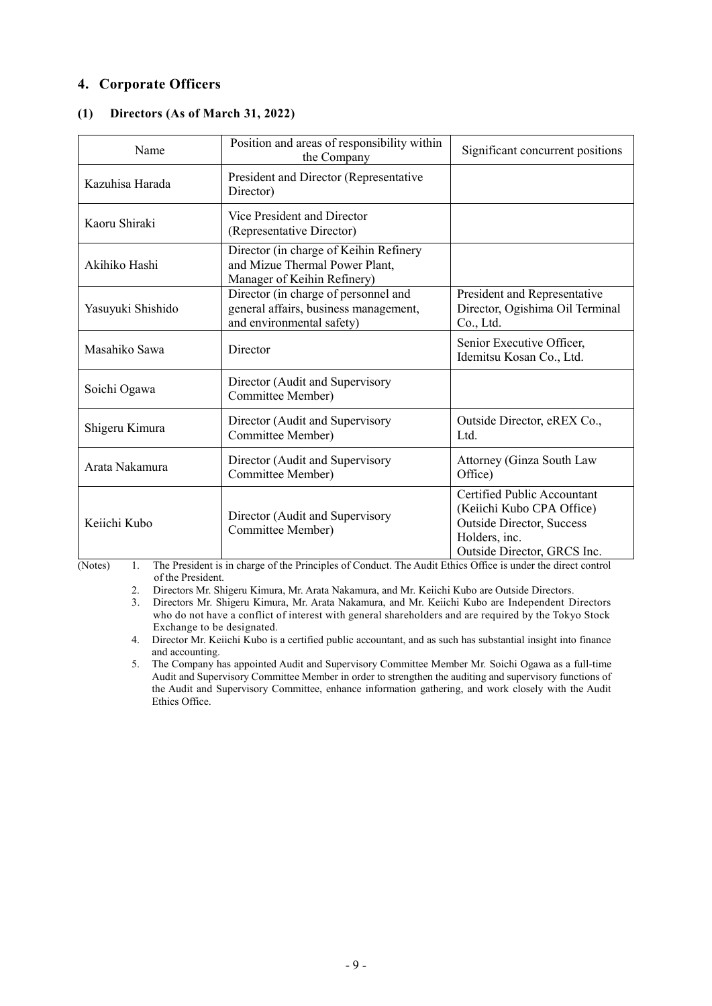#### **4. Corporate Officers**

#### **(1) Directors (As of March 31, 2022)**

| Position and areas of responsibility within<br>Name<br>the Company |                                                                                                            | Significant concurrent positions                                                                                                             |
|--------------------------------------------------------------------|------------------------------------------------------------------------------------------------------------|----------------------------------------------------------------------------------------------------------------------------------------------|
| Kazuhisa Harada                                                    | President and Director (Representative<br>Director)                                                        |                                                                                                                                              |
| Kaoru Shiraki                                                      | Vice President and Director<br>(Representative Director)                                                   |                                                                                                                                              |
| Akihiko Hashi                                                      | Director (in charge of Keihin Refinery<br>and Mizue Thermal Power Plant,<br>Manager of Keihin Refinery)    |                                                                                                                                              |
| Yasuyuki Shishido                                                  | Director (in charge of personnel and<br>general affairs, business management,<br>and environmental safety) | President and Representative<br>Director, Ogishima Oil Terminal<br>Co., Ltd.                                                                 |
| Masahiko Sawa                                                      | Director                                                                                                   | Senior Executive Officer,<br>Idemitsu Kosan Co., Ltd.                                                                                        |
| Soichi Ogawa                                                       | Director (Audit and Supervisory<br>Committee Member)                                                       |                                                                                                                                              |
| Shigeru Kimura                                                     | Director (Audit and Supervisory<br>Committee Member)                                                       | Outside Director, eREX Co.,<br>Ltd.                                                                                                          |
| Arata Nakamura                                                     | Director (Audit and Supervisory<br>Committee Member)                                                       | Attorney (Ginza South Law<br>Office)                                                                                                         |
| Keiichi Kubo                                                       | Director (Audit and Supervisory<br>Committee Member)                                                       | Certified Public Accountant<br>(Keiichi Kubo CPA Office)<br><b>Outside Director, Success</b><br>Holders, inc.<br>Outside Director, GRCS Inc. |

(Notes) 1. The President is in charge of the Principles of Conduct. The Audit Ethics Office is under the direct control of the President.

2. Directors Mr. Shigeru Kimura, Mr. Arata Nakamura, and Mr. Keiichi Kubo are Outside Directors. 3. Directors Mr. Shigeru Kimura, Mr. Arata Nakamura, and Mr. Keiichi Kubo are Independent Directors who do not have a conflict of interest with general shareholders and are required by the Tokyo Stock Exchange to be designated.

4. Director Mr. Keiichi Kubo is a certified public accountant, and as such has substantial insight into finance and accounting.

5. The Company has appointed Audit and Supervisory Committee Member Mr. Soichi Ogawa as a full-time Audit and Supervisory Committee Member in order to strengthen the auditing and supervisory functions of the Audit and Supervisory Committee, enhance information gathering, and work closely with the Audit Ethics Office.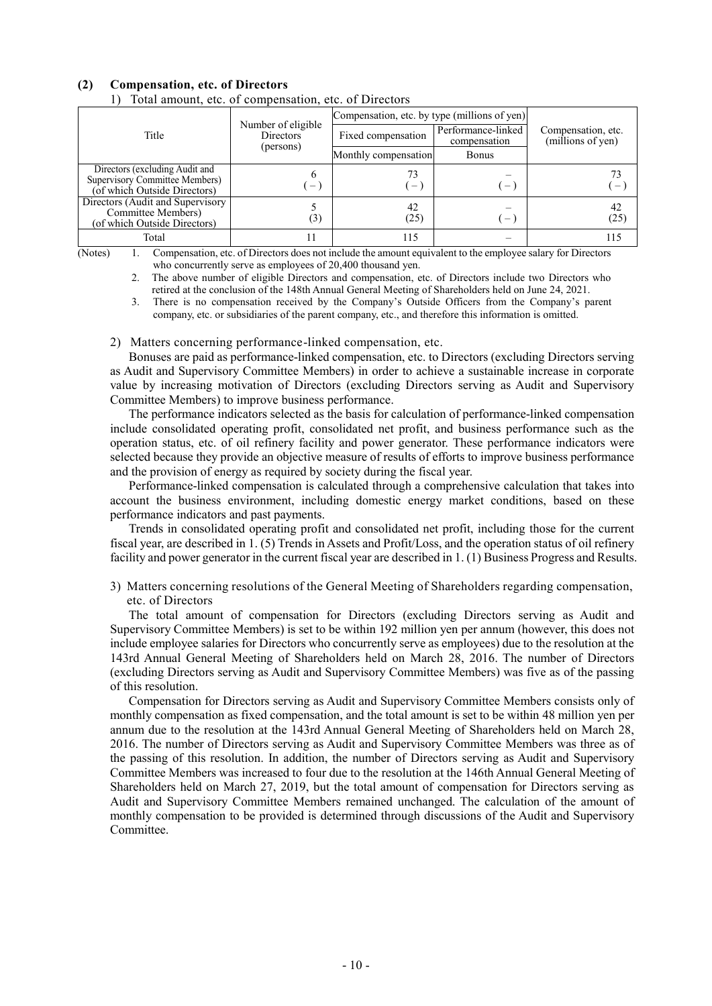#### **(2) Compensation, etc. of Directors**

|  |  |  |  | 1) Total amount, etc. of compensation, etc. of Directors |  |
|--|--|--|--|----------------------------------------------------------|--|
|--|--|--|--|----------------------------------------------------------|--|

|                                                                                                  |                                        | Compensation, etc. by type (millions of yen) |                                      |                                         |
|--------------------------------------------------------------------------------------------------|----------------------------------------|----------------------------------------------|--------------------------------------|-----------------------------------------|
| Title                                                                                            | Number of eligible<br><b>Directors</b> | Fixed compensation                           | Performance-linked<br>compensation   | Compensation, etc.<br>(millions of yen) |
|                                                                                                  | (persons)                              |                                              | Monthly compensation<br><b>Bonus</b> |                                         |
| Directors (excluding Audit and<br>Supervisory Committee Members)<br>(of which Outside Directors) | $\overline{\phantom{a}}$               | $\qquad \qquad =$                            | $\overline{\phantom{m}}$             |                                         |
| Directors (Audit and Supervisory<br><b>Committee Members)</b><br>(of which Outside Directors)    | (3)                                    | 42<br>(25)                                   | $\qquad \qquad \longleftarrow$       | 42<br>(25)                              |
| Total                                                                                            |                                        | 115                                          |                                      | 115                                     |

(Notes) 1. Compensation, etc. of Directors does not include the amount equivalent to the employee salary for Directors who concurrently serve as employees of 20,400 thousand yen.

2. The above number of eligible Directors and compensation, etc. of Directors include two Directors who retired at the conclusion of the 148th Annual General Meeting of Shareholders held on June 24, 2021.

3. There is no compensation received by the Company's Outside Officers from the Company's parent company, etc. or subsidiaries of the parent company, etc., and therefore this information is omitted.

#### 2) Matters concerning performance-linked compensation, etc.

Bonuses are paid as performance-linked compensation, etc. to Directors (excluding Directors serving as Audit and Supervisory Committee Members) in order to achieve a sustainable increase in corporate value by increasing motivation of Directors (excluding Directors serving as Audit and Supervisory Committee Members) to improve business performance.

The performance indicators selected as the basis for calculation of performance-linked compensation include consolidated operating profit, consolidated net profit, and business performance such as the operation status, etc. of oil refinery facility and power generator. These performance indicators were selected because they provide an objective measure of results of efforts to improve business performance and the provision of energy as required by society during the fiscal year.

Performance-linked compensation is calculated through a comprehensive calculation that takes into account the business environment, including domestic energy market conditions, based on these performance indicators and past payments.

Trends in consolidated operating profit and consolidated net profit, including those for the current fiscal year, are described in 1. (5) Trends in Assets and Profit/Loss, and the operation status of oil refinery facility and power generator in the current fiscal year are described in 1. (1) Business Progress and Results.

3) Matters concerning resolutions of the General Meeting of Shareholders regarding compensation, etc. of Directors

The total amount of compensation for Directors (excluding Directors serving as Audit and Supervisory Committee Members) is set to be within 192 million yen per annum (however, this does not include employee salaries for Directors who concurrently serve as employees) due to the resolution at the 143rd Annual General Meeting of Shareholders held on March 28, 2016. The number of Directors (excluding Directors serving as Audit and Supervisory Committee Members) was five as of the passing of this resolution.

Compensation for Directors serving as Audit and Supervisory Committee Members consists only of monthly compensation as fixed compensation, and the total amount is set to be within 48 million yen per annum due to the resolution at the 143rd Annual General Meeting of Shareholders held on March 28, 2016. The number of Directors serving as Audit and Supervisory Committee Members was three as of the passing of this resolution. In addition, the number of Directors serving as Audit and Supervisory Committee Members was increased to four due to the resolution at the 146th Annual General Meeting of Shareholders held on March 27, 2019, but the total amount of compensation for Directors serving as Audit and Supervisory Committee Members remained unchanged. The calculation of the amount of monthly compensation to be provided is determined through discussions of the Audit and Supervisory Committee.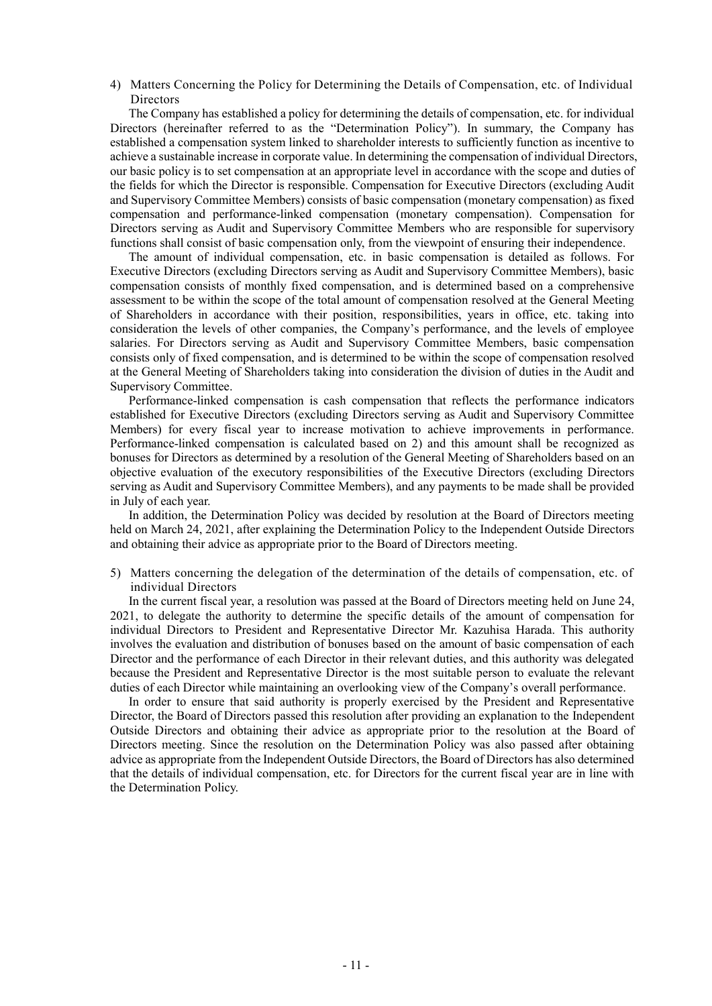4) Matters Concerning the Policy for Determining the Details of Compensation, etc. of Individual **Directors** 

The Company has established a policy for determining the details of compensation, etc. for individual Directors (hereinafter referred to as the "Determination Policy"). In summary, the Company has established a compensation system linked to shareholder interests to sufficiently function as incentive to achieve a sustainable increase in corporate value. In determining the compensation of individual Directors, our basic policy is to set compensation at an appropriate level in accordance with the scope and duties of the fields for which the Director is responsible. Compensation for Executive Directors (excluding Audit and Supervisory Committee Members) consists of basic compensation (monetary compensation) as fixed compensation and performance-linked compensation (monetary compensation). Compensation for Directors serving as Audit and Supervisory Committee Members who are responsible for supervisory functions shall consist of basic compensation only, from the viewpoint of ensuring their independence.

The amount of individual compensation, etc. in basic compensation is detailed as follows. For Executive Directors (excluding Directors serving as Audit and Supervisory Committee Members), basic compensation consists of monthly fixed compensation, and is determined based on a comprehensive assessment to be within the scope of the total amount of compensation resolved at the General Meeting of Shareholders in accordance with their position, responsibilities, years in office, etc. taking into consideration the levels of other companies, the Company's performance, and the levels of employee salaries. For Directors serving as Audit and Supervisory Committee Members, basic compensation consists only of fixed compensation, and is determined to be within the scope of compensation resolved at the General Meeting of Shareholders taking into consideration the division of duties in the Audit and Supervisory Committee.

Performance-linked compensation is cash compensation that reflects the performance indicators established for Executive Directors (excluding Directors serving as Audit and Supervisory Committee Members) for every fiscal year to increase motivation to achieve improvements in performance. Performance-linked compensation is calculated based on 2) and this amount shall be recognized as bonuses for Directors as determined by a resolution of the General Meeting of Shareholders based on an objective evaluation of the executory responsibilities of the Executive Directors (excluding Directors serving as Audit and Supervisory Committee Members), and any payments to be made shall be provided in July of each year.

In addition, the Determination Policy was decided by resolution at the Board of Directors meeting held on March 24, 2021, after explaining the Determination Policy to the Independent Outside Directors and obtaining their advice as appropriate prior to the Board of Directors meeting.

5) Matters concerning the delegation of the determination of the details of compensation, etc. of individual Directors

In the current fiscal year, a resolution was passed at the Board of Directors meeting held on June 24, 2021, to delegate the authority to determine the specific details of the amount of compensation for individual Directors to President and Representative Director Mr. Kazuhisa Harada. This authority involves the evaluation and distribution of bonuses based on the amount of basic compensation of each Director and the performance of each Director in their relevant duties, and this authority was delegated because the President and Representative Director is the most suitable person to evaluate the relevant duties of each Director while maintaining an overlooking view of the Company's overall performance.

In order to ensure that said authority is properly exercised by the President and Representative Director, the Board of Directors passed this resolution after providing an explanation to the Independent Outside Directors and obtaining their advice as appropriate prior to the resolution at the Board of Directors meeting. Since the resolution on the Determination Policy was also passed after obtaining advice as appropriate from the Independent Outside Directors, the Board of Directors has also determined that the details of individual compensation, etc. for Directors for the current fiscal year are in line with the Determination Policy.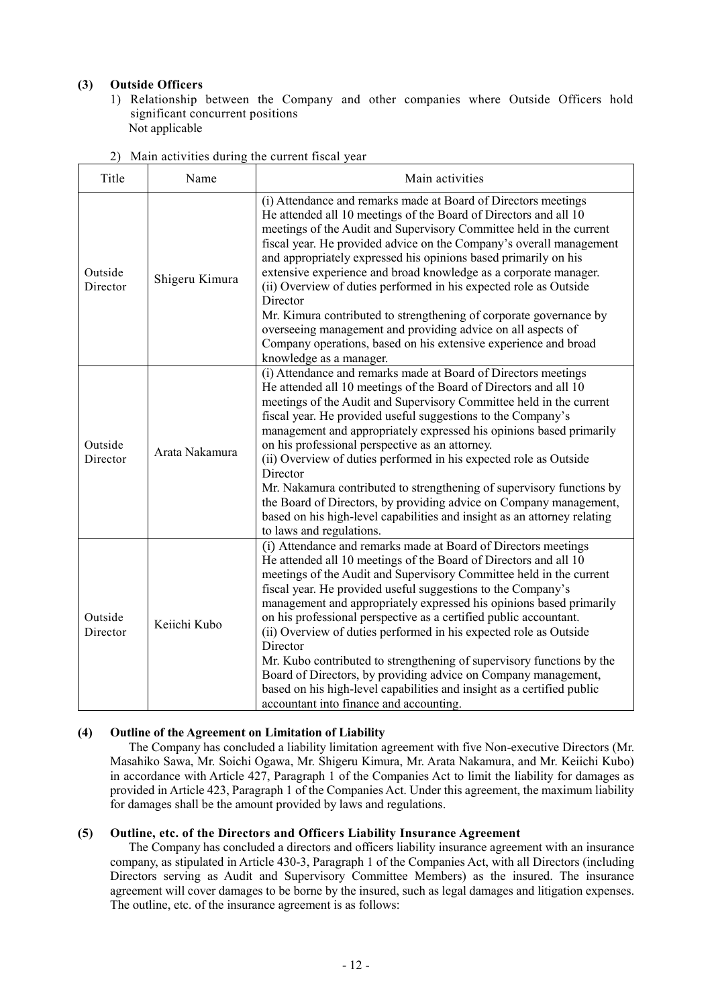#### **(3) Outside Officers**

1) Relationship between the Company and other companies where Outside Officers hold significant concurrent positions Not applicable

| Title               | Name           | Main activities                                                                                                                                                                                                                                                                                                                                                                                                                                                                                                                                                                                                                                                                                                                                                        |
|---------------------|----------------|------------------------------------------------------------------------------------------------------------------------------------------------------------------------------------------------------------------------------------------------------------------------------------------------------------------------------------------------------------------------------------------------------------------------------------------------------------------------------------------------------------------------------------------------------------------------------------------------------------------------------------------------------------------------------------------------------------------------------------------------------------------------|
| Outside<br>Director | Shigeru Kimura | (i) Attendance and remarks made at Board of Directors meetings<br>He attended all 10 meetings of the Board of Directors and all 10<br>meetings of the Audit and Supervisory Committee held in the current<br>fiscal year. He provided advice on the Company's overall management<br>and appropriately expressed his opinions based primarily on his<br>extensive experience and broad knowledge as a corporate manager.<br>(ii) Overview of duties performed in his expected role as Outside<br>Director<br>Mr. Kimura contributed to strengthening of corporate governance by<br>overseeing management and providing advice on all aspects of<br>Company operations, based on his extensive experience and broad<br>knowledge as a manager.                           |
| Outside<br>Director | Arata Nakamura | (i) Attendance and remarks made at Board of Directors meetings<br>He attended all 10 meetings of the Board of Directors and all 10<br>meetings of the Audit and Supervisory Committee held in the current<br>fiscal year. He provided useful suggestions to the Company's<br>management and appropriately expressed his opinions based primarily<br>on his professional perspective as an attorney.<br>(ii) Overview of duties performed in his expected role as Outside<br>Director<br>Mr. Nakamura contributed to strengthening of supervisory functions by<br>the Board of Directors, by providing advice on Company management,<br>based on his high-level capabilities and insight as an attorney relating<br>to laws and regulations.                            |
| Outside<br>Director | Keiichi Kubo   | (i) Attendance and remarks made at Board of Directors meetings<br>He attended all 10 meetings of the Board of Directors and all 10<br>meetings of the Audit and Supervisory Committee held in the current<br>fiscal year. He provided useful suggestions to the Company's<br>management and appropriately expressed his opinions based primarily<br>on his professional perspective as a certified public accountant.<br>(ii) Overview of duties performed in his expected role as Outside<br>Director<br>Mr. Kubo contributed to strengthening of supervisory functions by the<br>Board of Directors, by providing advice on Company management,<br>based on his high-level capabilities and insight as a certified public<br>accountant into finance and accounting. |

2) Main activities during the current fiscal year

#### **(4) Outline of the Agreement on Limitation of Liability**

The Company has concluded a liability limitation agreement with five Non-executive Directors (Mr. Masahiko Sawa, Mr. Soichi Ogawa, Mr. Shigeru Kimura, Mr. Arata Nakamura, and Mr. Keiichi Kubo) in accordance with Article 427, Paragraph 1 of the Companies Act to limit the liability for damages as provided in Article 423, Paragraph 1 of the Companies Act. Under this agreement, the maximum liability for damages shall be the amount provided by laws and regulations.

#### **(5) Outline, etc. of the Directors and Officers Liability Insurance Agreement**

The Company has concluded a directors and officers liability insurance agreement with an insurance company, as stipulated in Article 430-3, Paragraph 1 of the Companies Act, with all Directors (including Directors serving as Audit and Supervisory Committee Members) as the insured. The insurance agreement will cover damages to be borne by the insured, such as legal damages and litigation expenses. The outline, etc. of the insurance agreement is as follows: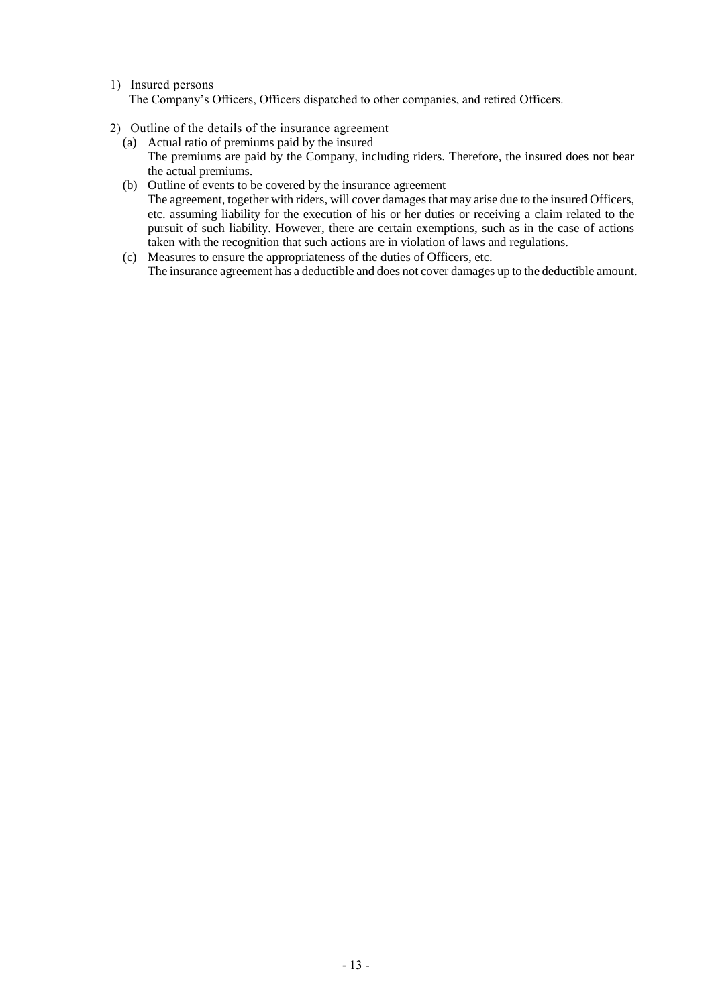#### 1) Insured persons

The Company's Officers, Officers dispatched to other companies, and retired Officers.

- 2) Outline of the details of the insurance agreement
	- (a) Actual ratio of premiums paid by the insured The premiums are paid by the Company, including riders. Therefore, the insured does not bear the actual premiums.
	- (b) Outline of events to be covered by the insurance agreement The agreement, together with riders, will cover damages that may arise due to the insured Officers, etc. assuming liability for the execution of his or her duties or receiving a claim related to the pursuit of such liability. However, there are certain exemptions, such as in the case of actions taken with the recognition that such actions are in violation of laws and regulations.
	- (c) Measures to ensure the appropriateness of the duties of Officers, etc. The insurance agreement has a deductible and does not cover damages up to the deductible amount.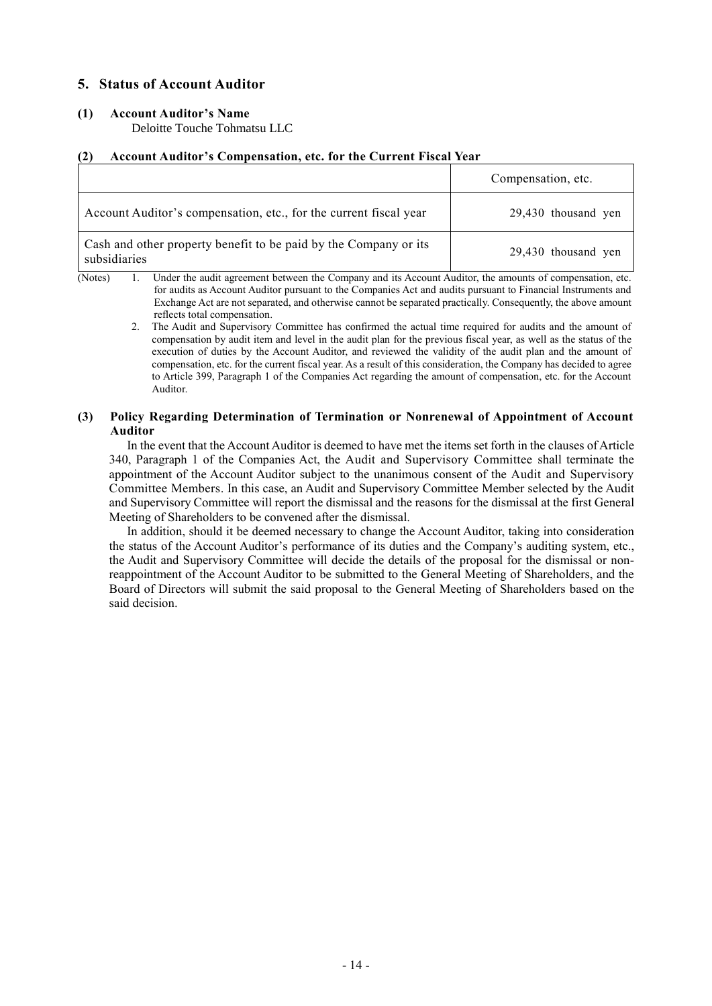#### **5. Status of Account Auditor**

#### **(1) Account Auditor's Name**

Deloitte Touche Tohmatsu LLC

#### **(2) Account Auditor's Compensation, etc. for the Current Fiscal Year**

|                                                                                  | Compensation, etc.  |
|----------------------------------------------------------------------------------|---------------------|
| Account Auditor's compensation, etc., for the current fiscal year                | 29,430 thousand yen |
| Cash and other property benefit to be paid by the Company or its<br>subsidiaries | 29,430 thousand yen |

(Notes) 1. Under the audit agreement between the Company and its Account Auditor, the amounts of compensation, etc. for audits as Account Auditor pursuant to the Companies Act and audits pursuant to Financial Instruments and Exchange Act are not separated, and otherwise cannot be separated practically. Consequently, the above amount reflects total compensation.

2. The Audit and Supervisory Committee has confirmed the actual time required for audits and the amount of compensation by audit item and level in the audit plan for the previous fiscal year, as well as the status of the execution of duties by the Account Auditor, and reviewed the validity of the audit plan and the amount of compensation, etc. for the current fiscal year. As a result of this consideration, the Company has decided to agree to Article 399, Paragraph 1 of the Companies Act regarding the amount of compensation, etc. for the Account Auditor.

#### **(3) Policy Regarding Determination of Termination or Nonrenewal of Appointment of Account Auditor**

In the event that the Account Auditor is deemed to have met the items set forth in the clauses of Article 340, Paragraph 1 of the Companies Act, the Audit and Supervisory Committee shall terminate the appointment of the Account Auditor subject to the unanimous consent of the Audit and Supervisory Committee Members. In this case, an Audit and Supervisory Committee Member selected by the Audit and Supervisory Committee will report the dismissal and the reasons for the dismissal at the first General Meeting of Shareholders to be convened after the dismissal.

In addition, should it be deemed necessary to change the Account Auditor, taking into consideration the status of the Account Auditor's performance of its duties and the Company's auditing system, etc., the Audit and Supervisory Committee will decide the details of the proposal for the dismissal or nonreappointment of the Account Auditor to be submitted to the General Meeting of Shareholders, and the Board of Directors will submit the said proposal to the General Meeting of Shareholders based on the said decision.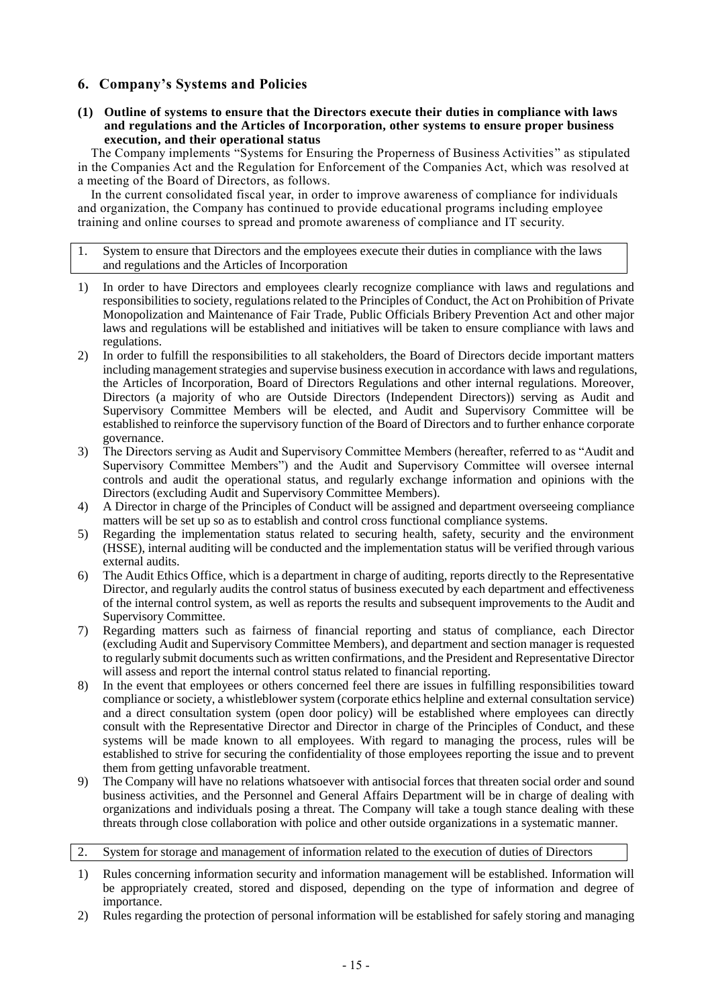### **6. Company's Systems and Policies**

#### **(1) Outline of systems to ensure that the Directors execute their duties in compliance with laws and regulations and the Articles of Incorporation, other systems to ensure proper business execution, and their operational status**

The Company implements "Systems for Ensuring the Properness of Business Activities" as stipulated in the Companies Act and the Regulation for Enforcement of the Companies Act, which was resolved at a meeting of the Board of Directors, as follows.

In the current consolidated fiscal year, in order to improve awareness of compliance for individuals and organization, the Company has continued to provide educational programs including employee training and online courses to spread and promote awareness of compliance and IT security.

#### 1. System to ensure that Directors and the employees execute their duties in compliance with the laws and regulations and the Articles of Incorporation

- 1) In order to have Directors and employees clearly recognize compliance with laws and regulations and responsibilities to society, regulations related to the Principles of Conduct, the Act on Prohibition of Private Monopolization and Maintenance of Fair Trade, Public Officials Bribery Prevention Act and other major laws and regulations will be established and initiatives will be taken to ensure compliance with laws and regulations.
- 2) In order to fulfill the responsibilities to all stakeholders, the Board of Directors decide important matters including management strategies and supervise business execution in accordance with laws and regulations, the Articles of Incorporation, Board of Directors Regulations and other internal regulations. Moreover, Directors (a majority of who are Outside Directors (Independent Directors)) serving as Audit and Supervisory Committee Members will be elected, and Audit and Supervisory Committee will be established to reinforce the supervisory function of the Board of Directors and to further enhance corporate governance.
- 3) The Directors serving as Audit and Supervisory Committee Members (hereafter, referred to as "Audit and Supervisory Committee Members") and the Audit and Supervisory Committee will oversee internal controls and audit the operational status, and regularly exchange information and opinions with the Directors (excluding Audit and Supervisory Committee Members).
- 4) A Director in charge of the Principles of Conduct will be assigned and department overseeing compliance matters will be set up so as to establish and control cross functional compliance systems.
- 5) Regarding the implementation status related to securing health, safety, security and the environment (HSSE), internal auditing will be conducted and the implementation status will be verified through various external audits.
- 6) The Audit Ethics Office, which is a department in charge of auditing, reports directly to the Representative Director, and regularly audits the control status of business executed by each department and effectiveness of the internal control system, as well as reports the results and subsequent improvements to the Audit and Supervisory Committee.
- 7) Regarding matters such as fairness of financial reporting and status of compliance, each Director (excluding Audit and Supervisory Committee Members), and department and section manager is requested to regularly submit documents such as written confirmations, and the President and Representative Director will assess and report the internal control status related to financial reporting.
- 8) In the event that employees or others concerned feel there are issues in fulfilling responsibilities toward compliance or society, a whistleblower system (corporate ethics helpline and external consultation service) and a direct consultation system (open door policy) will be established where employees can directly consult with the Representative Director and Director in charge of the Principles of Conduct, and these systems will be made known to all employees. With regard to managing the process, rules will be established to strive for securing the confidentiality of those employees reporting the issue and to prevent them from getting unfavorable treatment.
- 9) The Company will have no relations whatsoever with antisocial forces that threaten social order and sound business activities, and the Personnel and General Affairs Department will be in charge of dealing with organizations and individuals posing a threat. The Company will take a tough stance dealing with these threats through close collaboration with police and other outside organizations in a systematic manner.

<sup>2.</sup> System for storage and management of information related to the execution of duties of Directors

<sup>1)</sup> Rules concerning information security and information management will be established. Information will be appropriately created, stored and disposed, depending on the type of information and degree of importance.

<sup>2)</sup> Rules regarding the protection of personal information will be established for safely storing and managing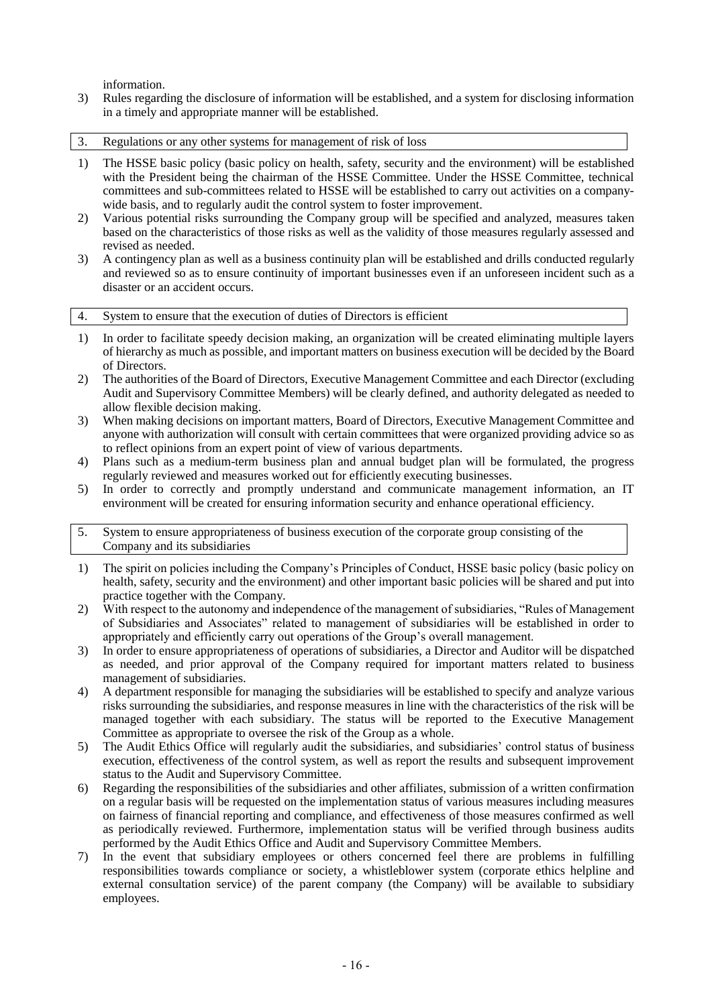information.

3) Rules regarding the disclosure of information will be established, and a system for disclosing information in a timely and appropriate manner will be established.

#### 3. Regulations or any other systems for management of risk of loss

- 1) The HSSE basic policy (basic policy on health, safety, security and the environment) will be established with the President being the chairman of the HSSE Committee. Under the HSSE Committee, technical committees and sub-committees related to HSSE will be established to carry out activities on a companywide basis, and to regularly audit the control system to foster improvement.
- 2) Various potential risks surrounding the Company group will be specified and analyzed, measures taken based on the characteristics of those risks as well as the validity of those measures regularly assessed and revised as needed.
- 3) A contingency plan as well as a business continuity plan will be established and drills conducted regularly and reviewed so as to ensure continuity of important businesses even if an unforeseen incident such as a disaster or an accident occurs.

#### 4. System to ensure that the execution of duties of Directors is efficient

- 1) In order to facilitate speedy decision making, an organization will be created eliminating multiple layers of hierarchy as much as possible, and important matters on business execution will be decided by the Board of Directors.
- 2) The authorities of the Board of Directors, Executive Management Committee and each Director (excluding Audit and Supervisory Committee Members) will be clearly defined, and authority delegated as needed to allow flexible decision making.
- 3) When making decisions on important matters, Board of Directors, Executive Management Committee and anyone with authorization will consult with certain committees that were organized providing advice so as to reflect opinions from an expert point of view of various departments.
- 4) Plans such as a medium-term business plan and annual budget plan will be formulated, the progress regularly reviewed and measures worked out for efficiently executing businesses.
- 5) In order to correctly and promptly understand and communicate management information, an IT environment will be created for ensuring information security and enhance operational efficiency.
- 5. System to ensure appropriateness of business execution of the corporate group consisting of the Company and its subsidiaries
- 1) The spirit on policies including the Company's Principles of Conduct, HSSE basic policy (basic policy on health, safety, security and the environment) and other important basic policies will be shared and put into practice together with the Company.
- 2) With respect to the autonomy and independence of the management of subsidiaries, "Rules of Management of Subsidiaries and Associates" related to management of subsidiaries will be established in order to appropriately and efficiently carry out operations of the Group's overall management.
- 3) In order to ensure appropriateness of operations of subsidiaries, a Director and Auditor will be dispatched as needed, and prior approval of the Company required for important matters related to business management of subsidiaries.
- 4) A department responsible for managing the subsidiaries will be established to specify and analyze various risks surrounding the subsidiaries, and response measures in line with the characteristics of the risk will be managed together with each subsidiary. The status will be reported to the Executive Management Committee as appropriate to oversee the risk of the Group as a whole.
- 5) The Audit Ethics Office will regularly audit the subsidiaries, and subsidiaries' control status of business execution, effectiveness of the control system, as well as report the results and subsequent improvement status to the Audit and Supervisory Committee.
- 6) Regarding the responsibilities of the subsidiaries and other affiliates, submission of a written confirmation on a regular basis will be requested on the implementation status of various measures including measures on fairness of financial reporting and compliance, and effectiveness of those measures confirmed as well as periodically reviewed. Furthermore, implementation status will be verified through business audits performed by the Audit Ethics Office and Audit and Supervisory Committee Members.
- 7) In the event that subsidiary employees or others concerned feel there are problems in fulfilling responsibilities towards compliance or society, a whistleblower system (corporate ethics helpline and external consultation service) of the parent company (the Company) will be available to subsidiary employees.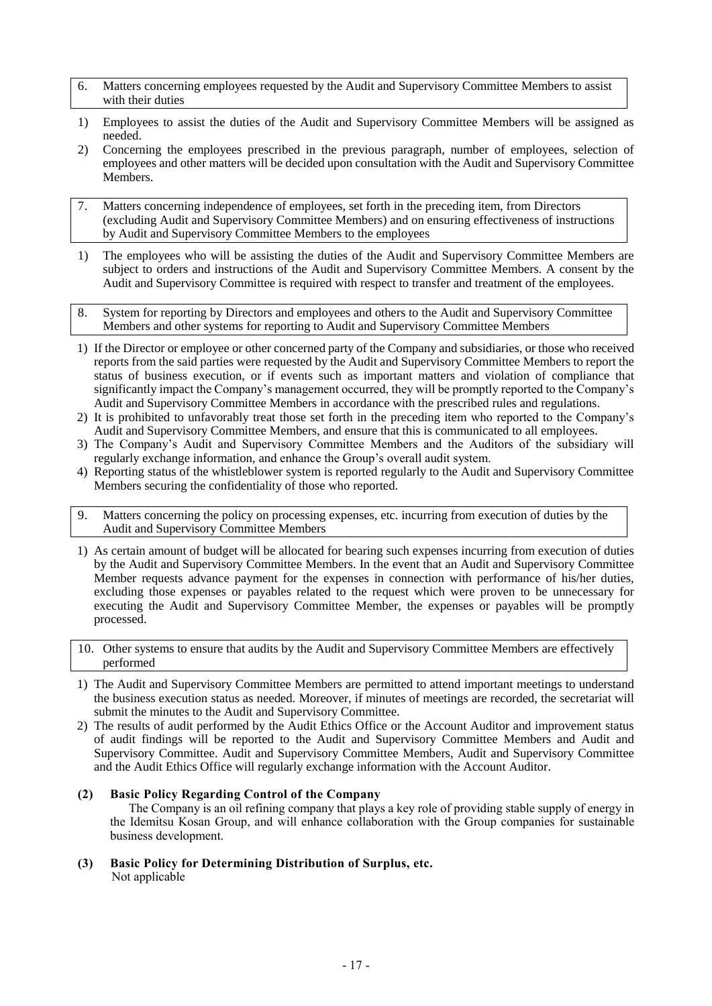- 6. Matters concerning employees requested by the Audit and Supervisory Committee Members to assist with their duties
- 1) Employees to assist the duties of the Audit and Supervisory Committee Members will be assigned as needed.
- 2) Concerning the employees prescribed in the previous paragraph, number of employees, selection of employees and other matters will be decided upon consultation with the Audit and Supervisory Committee Members.
- 7. Matters concerning independence of employees, set forth in the preceding item, from Directors (excluding Audit and Supervisory Committee Members) and on ensuring effectiveness of instructions by Audit and Supervisory Committee Members to the employees
- 1) The employees who will be assisting the duties of the Audit and Supervisory Committee Members are subject to orders and instructions of the Audit and Supervisory Committee Members. A consent by the Audit and Supervisory Committee is required with respect to transfer and treatment of the employees.
- 8. System for reporting by Directors and employees and others to the Audit and Supervisory Committee Members and other systems for reporting to Audit and Supervisory Committee Members
- 1) If the Director or employee or other concerned party of the Company and subsidiaries, or those who received reports from the said parties were requested by the Audit and Supervisory Committee Members to report the status of business execution, or if events such as important matters and violation of compliance that significantly impact the Company's management occurred, they will be promptly reported to the Company's Audit and Supervisory Committee Members in accordance with the prescribed rules and regulations.
- 2) It is prohibited to unfavorably treat those set forth in the preceding item who reported to the Company's Audit and Supervisory Committee Members, and ensure that this is communicated to all employees.
- 3) The Company's Audit and Supervisory Committee Members and the Auditors of the subsidiary will regularly exchange information, and enhance the Group's overall audit system.
- 4) Reporting status of the whistleblower system is reported regularly to the Audit and Supervisory Committee Members securing the confidentiality of those who reported.
- 9. Matters concerning the policy on processing expenses, etc. incurring from execution of duties by the Audit and Supervisory Committee Members
- 1) As certain amount of budget will be allocated for bearing such expenses incurring from execution of duties by the Audit and Supervisory Committee Members. In the event that an Audit and Supervisory Committee Member requests advance payment for the expenses in connection with performance of his/her duties, excluding those expenses or payables related to the request which were proven to be unnecessary for executing the Audit and Supervisory Committee Member, the expenses or payables will be promptly processed.
- 10. Other systems to ensure that audits by the Audit and Supervisory Committee Members are effectively performed
- 1) The Audit and Supervisory Committee Members are permitted to attend important meetings to understand the business execution status as needed. Moreover, if minutes of meetings are recorded, the secretariat will submit the minutes to the Audit and Supervisory Committee.
- 2) The results of audit performed by the Audit Ethics Office or the Account Auditor and improvement status of audit findings will be reported to the Audit and Supervisory Committee Members and Audit and Supervisory Committee. Audit and Supervisory Committee Members, Audit and Supervisory Committee and the Audit Ethics Office will regularly exchange information with the Account Auditor.

#### **(2) Basic Policy Regarding Control of the Company**

The Company is an oil refining company that plays a key role of providing stable supply of energy in the Idemitsu Kosan Group, and will enhance collaboration with the Group companies for sustainable business development.

**(3) Basic Policy for Determining Distribution of Surplus, etc.** Not applicable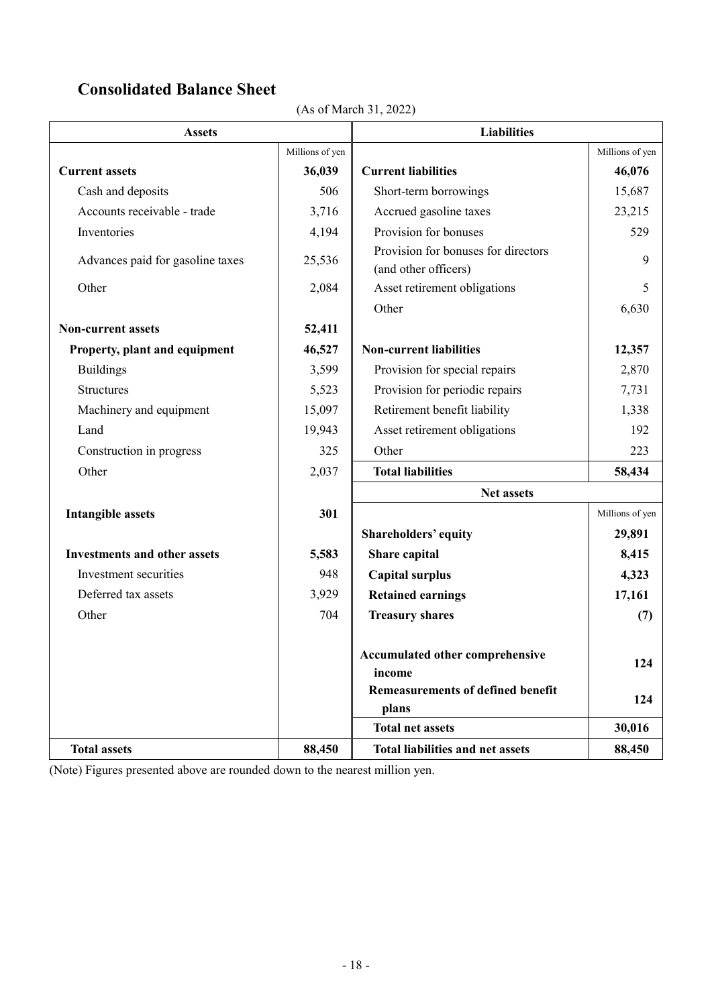## **Consolidated Balance Sheet**

(As of March 31, 2022)

| <b>Assets</b>                       |                 | <b>Liabilities</b>                                          |                 |
|-------------------------------------|-----------------|-------------------------------------------------------------|-----------------|
|                                     | Millions of yen |                                                             | Millions of yen |
| <b>Current assets</b>               | 36,039          | <b>Current liabilities</b>                                  | 46,076          |
| Cash and deposits                   | 506             | Short-term borrowings                                       | 15,687          |
| Accounts receivable - trade         | 3,716           | Accrued gasoline taxes                                      | 23,215          |
| Inventories                         | 4,194           | Provision for bonuses                                       | 529             |
| Advances paid for gasoline taxes    | 25,536          | Provision for bonuses for directors<br>(and other officers) | 9               |
| Other                               | 2,084           | Asset retirement obligations                                | 5               |
|                                     |                 | Other                                                       | 6,630           |
| <b>Non-current assets</b>           | 52,411          |                                                             |                 |
| Property, plant and equipment       | 46,527          | <b>Non-current liabilities</b>                              | 12,357          |
| <b>Buildings</b>                    | 3,599           | Provision for special repairs                               | 2,870           |
| Structures                          | 5,523           | Provision for periodic repairs                              | 7,731           |
| Machinery and equipment             | 15,097          | Retirement benefit liability                                | 1,338           |
| Land                                | 19,943          | Asset retirement obligations                                | 192             |
| Construction in progress            | 325             | Other                                                       | 223             |
| Other                               | 2,037           | <b>Total liabilities</b>                                    | 58,434          |
|                                     |                 | Net assets                                                  |                 |
| <b>Intangible assets</b>            | 301             |                                                             | Millions of yen |
|                                     |                 | <b>Shareholders' equity</b>                                 | 29,891          |
| <b>Investments and other assets</b> | 5,583           | Share capital                                               | 8,415           |
| Investment securities               | 948             | <b>Capital surplus</b>                                      | 4,323           |
| Deferred tax assets                 | 3,929           | <b>Retained earnings</b>                                    | 17,161          |
| Other                               | 704             | <b>Treasury shares</b>                                      | (7)             |
|                                     |                 |                                                             |                 |
|                                     |                 | Accumulated other comprehensive<br>income                   | 124             |
|                                     |                 | <b>Remeasurements of defined benefit</b>                    |                 |
|                                     |                 | plans                                                       | 124             |
|                                     |                 | <b>Total net assets</b>                                     | 30,016          |
| <b>Total assets</b>                 | 88,450          | <b>Total liabilities and net assets</b>                     | 88,450          |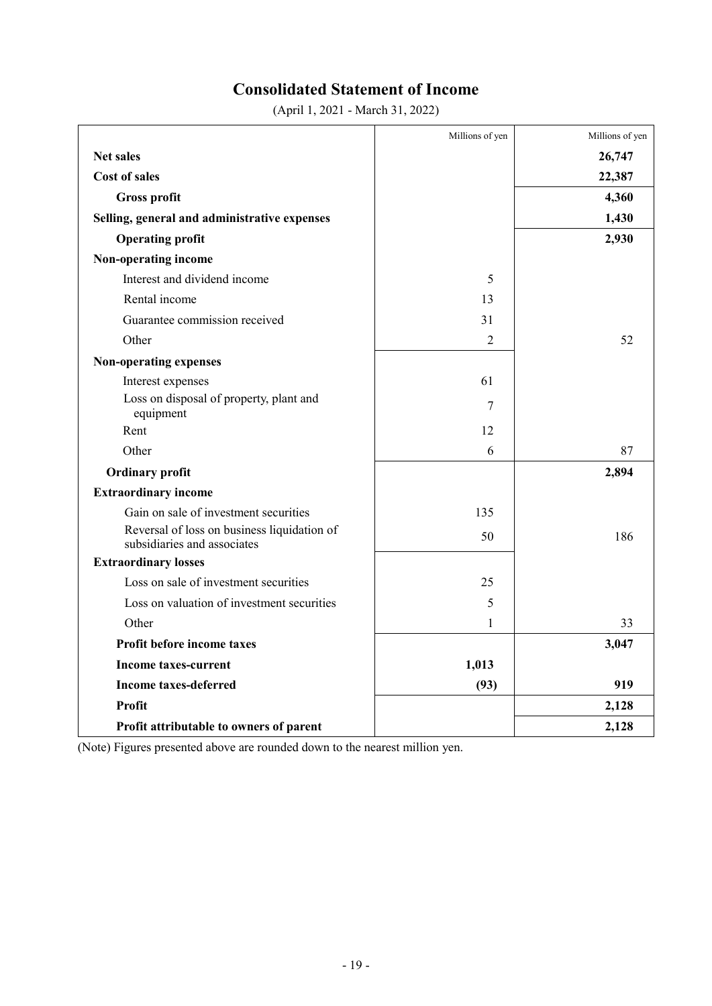### **Consolidated Statement of Income**

(April 1, 2021 - March 31, 2022)

|                                                                            | Millions of yen | Millions of yen |
|----------------------------------------------------------------------------|-----------------|-----------------|
| <b>Net sales</b>                                                           |                 | 26,747          |
| <b>Cost of sales</b>                                                       |                 | 22,387          |
| <b>Gross profit</b>                                                        |                 | 4,360           |
| Selling, general and administrative expenses                               |                 | 1,430           |
| <b>Operating profit</b>                                                    |                 | 2,930           |
| Non-operating income                                                       |                 |                 |
| Interest and dividend income                                               | 5               |                 |
| Rental income                                                              | 13              |                 |
| Guarantee commission received                                              | 31              |                 |
| Other                                                                      | $\overline{2}$  | 52              |
| Non-operating expenses                                                     |                 |                 |
| Interest expenses                                                          | 61              |                 |
| Loss on disposal of property, plant and<br>equipment                       | $\overline{7}$  |                 |
| Rent                                                                       | 12              |                 |
| Other                                                                      | 6               | 87              |
| <b>Ordinary profit</b>                                                     |                 | 2,894           |
| <b>Extraordinary income</b>                                                |                 |                 |
| Gain on sale of investment securities                                      | 135             |                 |
| Reversal of loss on business liquidation of<br>subsidiaries and associates | 50              | 186             |
| <b>Extraordinary losses</b>                                                |                 |                 |
| Loss on sale of investment securities                                      | 25              |                 |
| Loss on valuation of investment securities                                 | 5               |                 |
| Other                                                                      | 1               | 33              |
| Profit before income taxes                                                 |                 | 3,047           |
| Income taxes-current                                                       | 1,013           |                 |
| <b>Income taxes-deferred</b>                                               | (93)            | 919             |
| Profit                                                                     |                 | 2,128           |
| Profit attributable to owners of parent                                    |                 | 2,128           |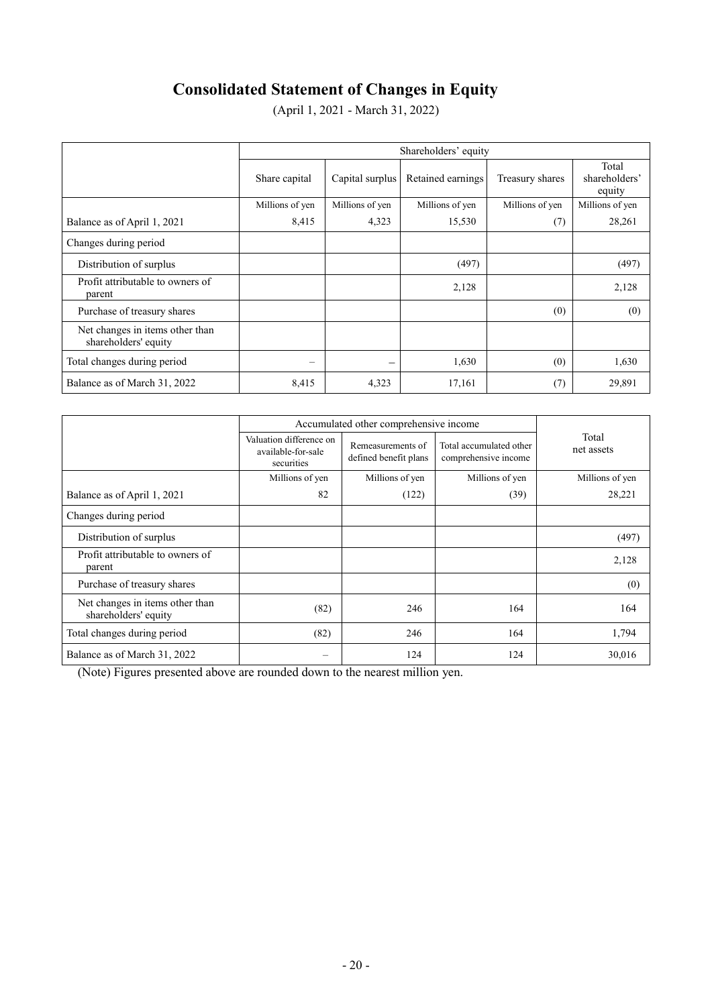## **Consolidated Statement of Changes in Equity**

(April 1, 2021 - March 31, 2022)

|                                                         | Shareholders' equity |                 |                   |                 |                                  |
|---------------------------------------------------------|----------------------|-----------------|-------------------|-----------------|----------------------------------|
|                                                         | Share capital        | Capital surplus | Retained earnings | Treasury shares | Total<br>shareholders'<br>equity |
|                                                         | Millions of yen      | Millions of yen | Millions of yen   | Millions of yen | Millions of yen                  |
| Balance as of April 1, 2021                             | 8,415                | 4,323           | 15,530            | (7)             | 28,261                           |
| Changes during period                                   |                      |                 |                   |                 |                                  |
| Distribution of surplus                                 |                      |                 | (497)             |                 | (497)                            |
| Profit attributable to owners of<br>parent              |                      |                 | 2,128             |                 | 2,128                            |
| Purchase of treasury shares                             |                      |                 |                   | (0)             | (0)                              |
| Net changes in items other than<br>shareholders' equity |                      |                 |                   |                 |                                  |
| Total changes during period                             |                      | —               | 1,630             | (0)             | 1,630                            |
| Balance as of March 31, 2022                            | 8,415                | 4,323           | 17,161            | (7)             | 29,891                           |

|                                                         | Accumulated other comprehensive income                      |                                            |                                                 |                     |
|---------------------------------------------------------|-------------------------------------------------------------|--------------------------------------------|-------------------------------------------------|---------------------|
|                                                         | Valuation difference on<br>available-for-sale<br>securities | Remeasurements of<br>defined benefit plans | Total accumulated other<br>comprehensive income | Total<br>net assets |
|                                                         | Millions of yen                                             | Millions of yen                            | Millions of yen                                 | Millions of yen     |
| Balance as of April 1, 2021                             | 82                                                          | (122)                                      | (39)                                            | 28,221              |
| Changes during period                                   |                                                             |                                            |                                                 |                     |
| Distribution of surplus                                 |                                                             |                                            |                                                 | (497)               |
| Profit attributable to owners of<br>parent              |                                                             |                                            |                                                 | 2,128               |
| Purchase of treasury shares                             |                                                             |                                            |                                                 | (0)                 |
| Net changes in items other than<br>shareholders' equity | (82)                                                        | 246                                        | 164                                             | 164                 |
| Total changes during period                             | (82)                                                        | 246                                        | 164                                             | 1,794               |
| Balance as of March 31, 2022                            |                                                             | 124                                        | 124                                             | 30,016              |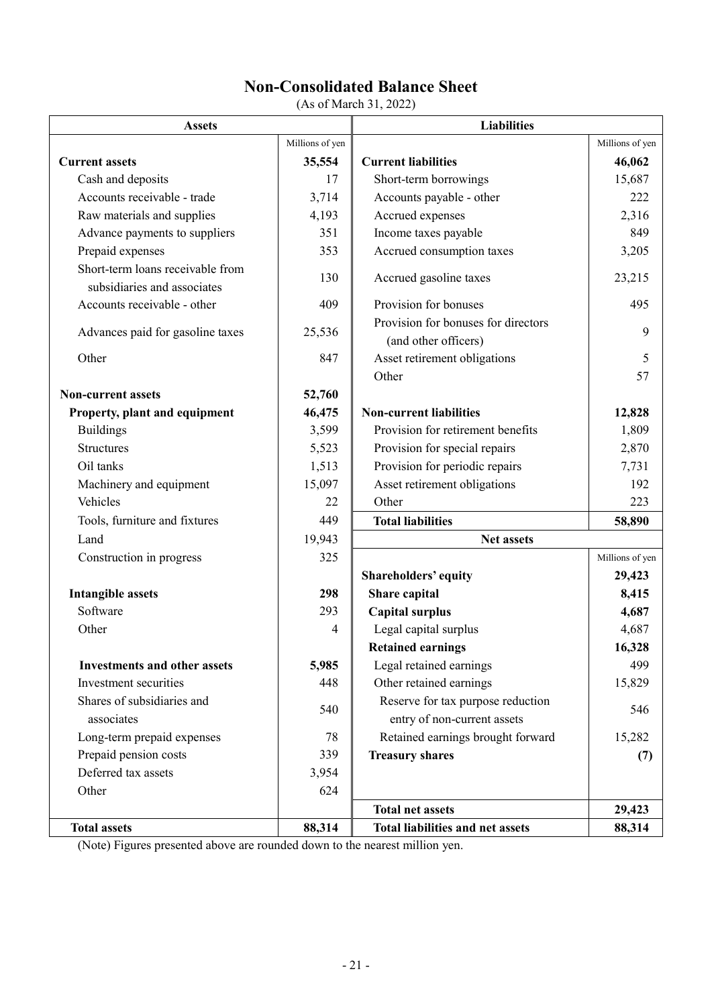### **Non-Consolidated Balance Sheet**

(As of March 31, 2022)

| <b>Assets</b>                                                   |                 | <b>Liabilities</b>                      |                 |
|-----------------------------------------------------------------|-----------------|-----------------------------------------|-----------------|
|                                                                 | Millions of yen |                                         | Millions of yen |
| <b>Current assets</b>                                           | 35,554          | <b>Current liabilities</b>              | 46,062          |
| Cash and deposits                                               | 17              | Short-term borrowings                   | 15,687          |
| Accounts receivable - trade                                     | 3,714           | Accounts payable - other                | 222             |
| Raw materials and supplies                                      | 4,193           | Accrued expenses                        | 2,316           |
| Advance payments to suppliers                                   | 351             | Income taxes payable                    | 849             |
| Prepaid expenses                                                | 353             | Accrued consumption taxes               | 3,205           |
| Short-term loans receivable from<br>subsidiaries and associates | 130             | Accrued gasoline taxes                  | 23,215          |
| Accounts receivable - other                                     | 409             | Provision for bonuses                   | 495             |
|                                                                 |                 | Provision for bonuses for directors     | 9               |
| Advances paid for gasoline taxes                                | 25,536          | (and other officers)                    |                 |
| Other                                                           | 847             | Asset retirement obligations            | 5               |
|                                                                 |                 | Other                                   | 57              |
| <b>Non-current assets</b>                                       | 52,760          |                                         |                 |
| Property, plant and equipment                                   | 46,475          | <b>Non-current liabilities</b>          | 12,828          |
| <b>Buildings</b>                                                | 3,599           | Provision for retirement benefits       | 1,809           |
| <b>Structures</b>                                               | 5,523           | Provision for special repairs           | 2,870           |
| Oil tanks                                                       | 1,513           | Provision for periodic repairs          | 7,731           |
| Machinery and equipment                                         | 15,097          | Asset retirement obligations            | 192             |
| Vehicles                                                        | 22              | Other                                   | 223             |
| Tools, furniture and fixtures                                   | 449             | <b>Total liabilities</b>                | 58,890          |
| Land                                                            | 19,943          | Net assets                              |                 |
| Construction in progress                                        | 325             |                                         | Millions of yen |
|                                                                 |                 | Shareholders' equity                    | 29,423          |
| <b>Intangible assets</b>                                        | 298             | Share capital                           | 8,415           |
| Software                                                        | 293             | <b>Capital surplus</b>                  | 4,687           |
| Other                                                           | 4               | Legal capital surplus                   | 4,687           |
|                                                                 |                 | <b>Retained earnings</b>                | 16,328          |
| <b>Investments and other assets</b>                             | 5,985           | Legal retained earnings                 | 499             |
| Investment securities                                           | 448             | Other retained earnings                 | 15,829          |
| Shares of subsidiaries and                                      | 540             | Reserve for tax purpose reduction       | 546             |
| associates                                                      |                 | entry of non-current assets             |                 |
| Long-term prepaid expenses                                      | 78              | Retained earnings brought forward       | 15,282          |
| Prepaid pension costs                                           | 339             | <b>Treasury shares</b>                  | (7)             |
| Deferred tax assets                                             | 3,954           |                                         |                 |
| Other                                                           | 624             |                                         |                 |
|                                                                 |                 | <b>Total net assets</b>                 | 29,423          |
| <b>Total assets</b>                                             | 88,314          | <b>Total liabilities and net assets</b> | 88,314          |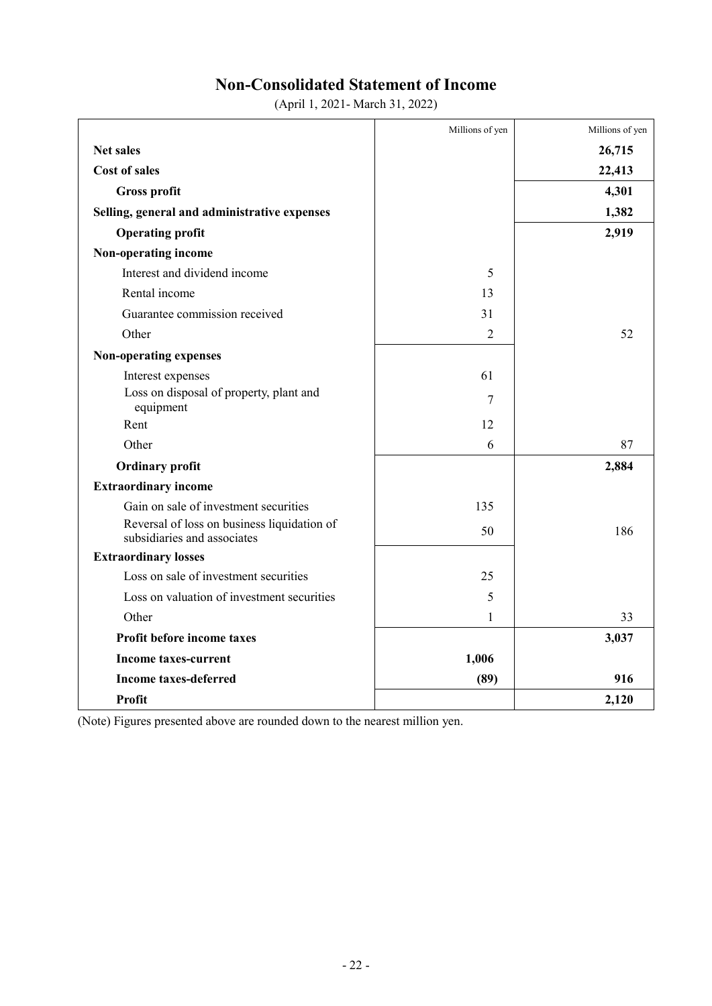### **Non-Consolidated Statement of Income**

(April 1, 2021- March 31, 2022)

|                                                                            | Millions of yen | Millions of yen |
|----------------------------------------------------------------------------|-----------------|-----------------|
| <b>Net sales</b>                                                           |                 | 26,715          |
| <b>Cost of sales</b>                                                       |                 | 22,413          |
| <b>Gross profit</b>                                                        |                 | 4,301           |
| Selling, general and administrative expenses                               |                 | 1,382           |
| <b>Operating profit</b>                                                    |                 | 2,919           |
| Non-operating income                                                       |                 |                 |
| Interest and dividend income                                               | 5               |                 |
| Rental income                                                              | 13              |                 |
| Guarantee commission received                                              | 31              |                 |
| Other                                                                      | $\overline{2}$  | 52              |
| Non-operating expenses                                                     |                 |                 |
| Interest expenses                                                          | 61              |                 |
| Loss on disposal of property, plant and<br>equipment                       | 7               |                 |
| Rent                                                                       | 12              |                 |
| Other                                                                      | 6               | 87              |
| <b>Ordinary profit</b>                                                     |                 | 2,884           |
| <b>Extraordinary income</b>                                                |                 |                 |
| Gain on sale of investment securities                                      | 135             |                 |
| Reversal of loss on business liquidation of<br>subsidiaries and associates | 50              | 186             |
| <b>Extraordinary losses</b>                                                |                 |                 |
| Loss on sale of investment securities                                      | 25              |                 |
| Loss on valuation of investment securities                                 | 5               |                 |
| Other                                                                      | $\mathbf{1}$    | 33              |
| Profit before income taxes                                                 |                 | 3,037           |
| Income taxes-current                                                       | 1,006           |                 |
| <b>Income taxes-deferred</b>                                               | (89)            | 916             |
| <b>Profit</b>                                                              |                 | 2,120           |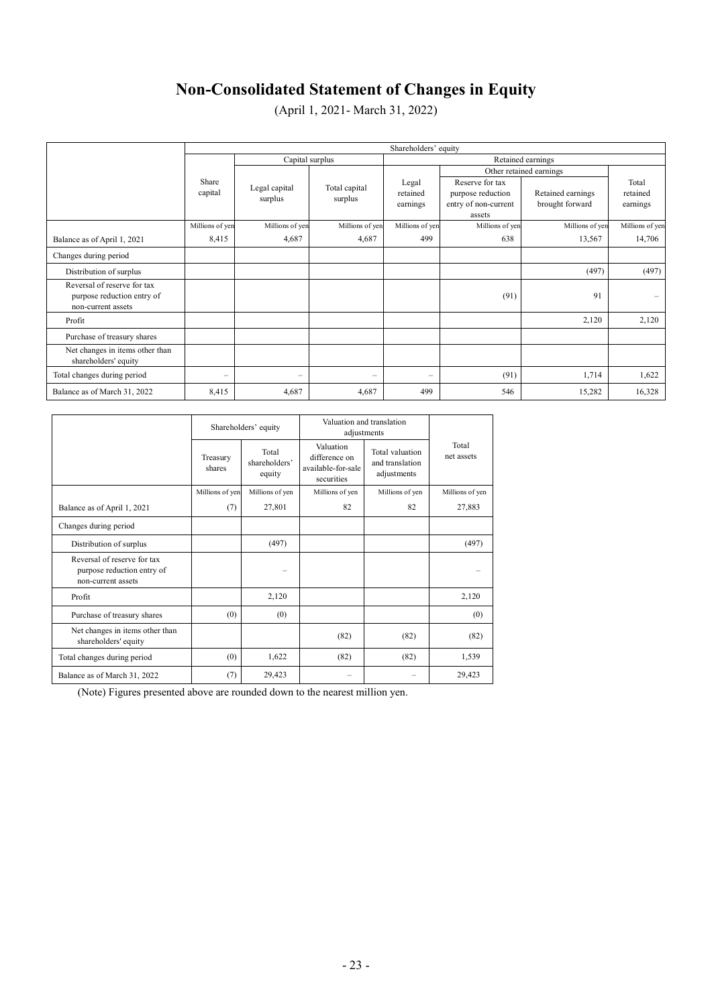### **Non-Consolidated Statement of Changes in Equity**

(April 1, 2021- March 31, 2022)

|                                                                                 | Shareholders' equity |                          |                          |                               |                                                                        |                                      |                               |
|---------------------------------------------------------------------------------|----------------------|--------------------------|--------------------------|-------------------------------|------------------------------------------------------------------------|--------------------------------------|-------------------------------|
|                                                                                 | Capital surplus      |                          | Retained earnings        |                               |                                                                        |                                      |                               |
|                                                                                 |                      |                          |                          |                               | Other retained earnings                                                |                                      |                               |
|                                                                                 | Share<br>capital     | Legal capital<br>surplus | Total capital<br>surplus | Legal<br>retained<br>earnings | Reserve for tax<br>purpose reduction<br>entry of non-current<br>assets | Retained earnings<br>brought forward | Total<br>retained<br>earnings |
|                                                                                 | Millions of yen      | Millions of yen          | Millions of yen          | Millions of yen               | Millions of yen                                                        | Millions of yen                      | Millions of yen               |
| Balance as of April 1, 2021                                                     | 8,415                | 4,687                    | 4,687                    | 499                           | 638                                                                    | 13,567                               | 14,706                        |
| Changes during period                                                           |                      |                          |                          |                               |                                                                        |                                      |                               |
| Distribution of surplus                                                         |                      |                          |                          |                               |                                                                        | (497)                                | (497)                         |
| Reversal of reserve for tax<br>purpose reduction entry of<br>non-current assets |                      |                          |                          |                               | (91)                                                                   | 91                                   |                               |
| Profit                                                                          |                      |                          |                          |                               |                                                                        | 2,120                                | 2,120                         |
| Purchase of treasury shares                                                     |                      |                          |                          |                               |                                                                        |                                      |                               |
| Net changes in items other than<br>shareholders' equity                         |                      |                          |                          |                               |                                                                        |                                      |                               |
| Total changes during period                                                     | $\qquad \qquad -$    | -                        | -                        | $\qquad \qquad -$             | (91)                                                                   | 1,714                                | 1,622                         |
| Balance as of March 31, 2022                                                    | 8,415                | 4,687                    | 4,687                    | 499                           | 546                                                                    | 15,282                               | 16,328                        |

|                                                                                 | Shareholders' equity |                                  | Valuation and translation<br>adjustments                       |                                                   |                     |
|---------------------------------------------------------------------------------|----------------------|----------------------------------|----------------------------------------------------------------|---------------------------------------------------|---------------------|
|                                                                                 | Treasury<br>shares   | Total<br>shareholders'<br>equity | Valuation<br>difference on<br>available-for-sale<br>securities | Total valuation<br>and translation<br>adjustments | Total<br>net assets |
|                                                                                 | Millions of yen      | Millions of yen                  | Millions of yen                                                | Millions of yen                                   | Millions of yen     |
| Balance as of April 1, 2021                                                     | (7)                  | 27,801                           | 82                                                             | 82                                                | 27,883              |
| Changes during period                                                           |                      |                                  |                                                                |                                                   |                     |
| Distribution of surplus                                                         |                      | (497)                            |                                                                |                                                   | (497)               |
| Reversal of reserve for tax<br>purpose reduction entry of<br>non-current assets |                      |                                  |                                                                |                                                   |                     |
| Profit                                                                          |                      | 2,120                            |                                                                |                                                   | 2,120               |
| Purchase of treasury shares                                                     | (0)                  | (0)                              |                                                                |                                                   | (0)                 |
| Net changes in items other than<br>shareholders' equity                         |                      |                                  | (82)                                                           | (82)                                              | (82)                |
| Total changes during period                                                     | (0)                  | 1,622                            | (82)                                                           | (82)                                              | 1,539               |
| Balance as of March 31, 2022                                                    | (7)                  | 29,423                           |                                                                |                                                   | 29,423              |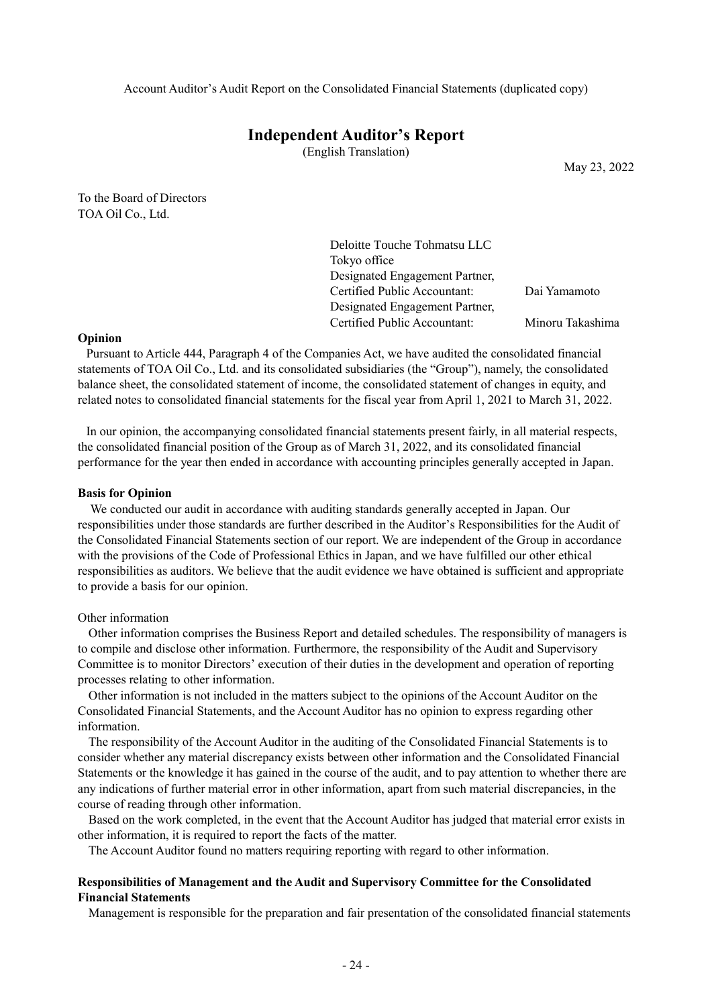Account Auditor's Audit Report on the Consolidated Financial Statements (duplicated copy)

#### **Independent Auditor's Report**

(English Translation)

May 23, 2022

To the Board of Directors TOA Oil Co., Ltd.

> Deloitte Touche Tohmatsu LLC Tokyo office Designated Engagement Partner, Certified Public Accountant: Dai Yamamoto Designated Engagement Partner, Certified Public Accountant: Minoru Takashima

#### **Opinion**

Pursuant to Article 444, Paragraph 4 of the Companies Act, we have audited the consolidated financial statements of TOA Oil Co., Ltd. and its consolidated subsidiaries (the "Group"), namely, the consolidated balance sheet, the consolidated statement of income, the consolidated statement of changes in equity, and related notes to consolidated financial statements for the fiscal year from April 1, 2021 to March 31, 2022.

In our opinion, the accompanying consolidated financial statements present fairly, in all material respects, the consolidated financial position of the Group as of March 31, 2022, and its consolidated financial performance for the year then ended in accordance with accounting principles generally accepted in Japan.

#### **Basis for Opinion**

We conducted our audit in accordance with auditing standards generally accepted in Japan. Our responsibilities under those standards are further described in the Auditor's Responsibilities for the Audit of the Consolidated Financial Statements section of our report. We are independent of the Group in accordance with the provisions of the Code of Professional Ethics in Japan, and we have fulfilled our other ethical responsibilities as auditors. We believe that the audit evidence we have obtained is sufficient and appropriate to provide a basis for our opinion.

#### Other information

Other information comprises the Business Report and detailed schedules. The responsibility of managers is to compile and disclose other information. Furthermore, the responsibility of the Audit and Supervisory Committee is to monitor Directors' execution of their duties in the development and operation of reporting processes relating to other information.

Other information is not included in the matters subject to the opinions of the Account Auditor on the Consolidated Financial Statements, and the Account Auditor has no opinion to express regarding other information.

The responsibility of the Account Auditor in the auditing of the Consolidated Financial Statements is to consider whether any material discrepancy exists between other information and the Consolidated Financial Statements or the knowledge it has gained in the course of the audit, and to pay attention to whether there are any indications of further material error in other information, apart from such material discrepancies, in the course of reading through other information.

Based on the work completed, in the event that the Account Auditor has judged that material error exists in other information, it is required to report the facts of the matter.

The Account Auditor found no matters requiring reporting with regard to other information.

#### **Responsibilities of Management and the Audit and Supervisory Committee for the Consolidated Financial Statements**

Management is responsible for the preparation and fair presentation of the consolidated financial statements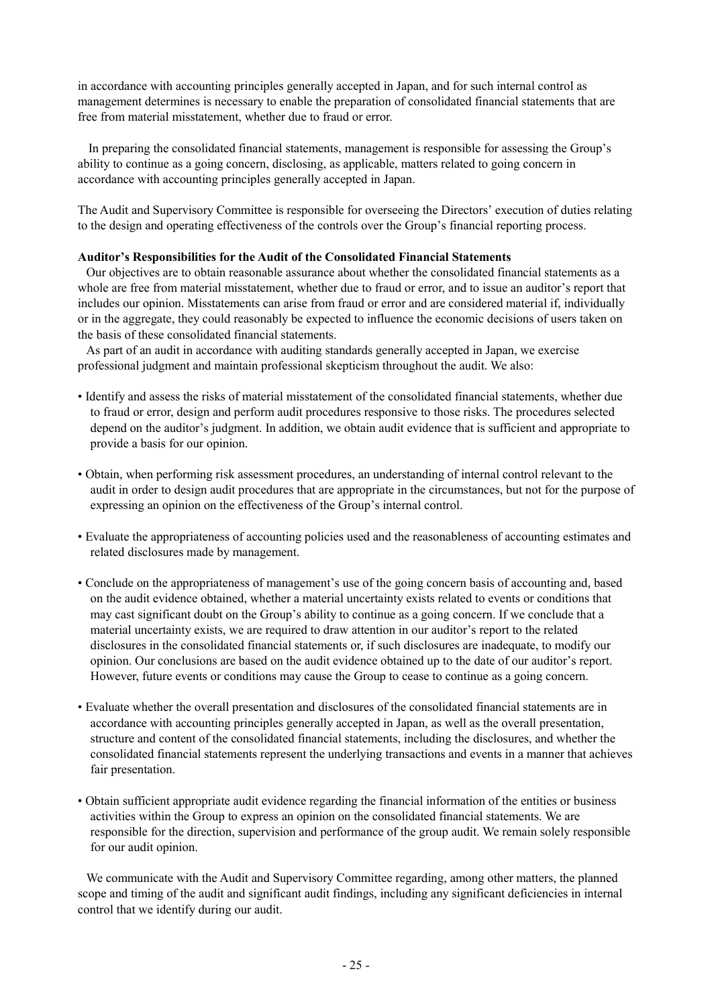in accordance with accounting principles generally accepted in Japan, and for such internal control as management determines is necessary to enable the preparation of consolidated financial statements that are free from material misstatement, whether due to fraud or error.

In preparing the consolidated financial statements, management is responsible for assessing the Group's ability to continue as a going concern, disclosing, as applicable, matters related to going concern in accordance with accounting principles generally accepted in Japan.

The Audit and Supervisory Committee is responsible for overseeing the Directors' execution of duties relating to the design and operating effectiveness of the controls over the Group's financial reporting process.

#### **Auditor's Responsibilities for the Audit of the Consolidated Financial Statements**

Our objectives are to obtain reasonable assurance about whether the consolidated financial statements as a whole are free from material misstatement, whether due to fraud or error, and to issue an auditor's report that includes our opinion. Misstatements can arise from fraud or error and are considered material if, individually or in the aggregate, they could reasonably be expected to influence the economic decisions of users taken on the basis of these consolidated financial statements.

As part of an audit in accordance with auditing standards generally accepted in Japan, we exercise professional judgment and maintain professional skepticism throughout the audit. We also:

- Identify and assess the risks of material misstatement of the consolidated financial statements, whether due to fraud or error, design and perform audit procedures responsive to those risks. The procedures selected depend on the auditor's judgment. In addition, we obtain audit evidence that is sufficient and appropriate to provide a basis for our opinion.
- Obtain, when performing risk assessment procedures, an understanding of internal control relevant to the audit in order to design audit procedures that are appropriate in the circumstances, but not for the purpose of expressing an opinion on the effectiveness of the Group's internal control.
- Evaluate the appropriateness of accounting policies used and the reasonableness of accounting estimates and related disclosures made by management.
- Conclude on the appropriateness of management's use of the going concern basis of accounting and, based on the audit evidence obtained, whether a material uncertainty exists related to events or conditions that may cast significant doubt on the Group's ability to continue as a going concern. If we conclude that a material uncertainty exists, we are required to draw attention in our auditor's report to the related disclosures in the consolidated financial statements or, if such disclosures are inadequate, to modify our opinion. Our conclusions are based on the audit evidence obtained up to the date of our auditor's report. However, future events or conditions may cause the Group to cease to continue as a going concern.
- Evaluate whether the overall presentation and disclosures of the consolidated financial statements are in accordance with accounting principles generally accepted in Japan, as well as the overall presentation, structure and content of the consolidated financial statements, including the disclosures, and whether the consolidated financial statements represent the underlying transactions and events in a manner that achieves fair presentation.
- Obtain sufficient appropriate audit evidence regarding the financial information of the entities or business activities within the Group to express an opinion on the consolidated financial statements. We are responsible for the direction, supervision and performance of the group audit. We remain solely responsible for our audit opinion.

We communicate with the Audit and Supervisory Committee regarding, among other matters, the planned scope and timing of the audit and significant audit findings, including any significant deficiencies in internal control that we identify during our audit.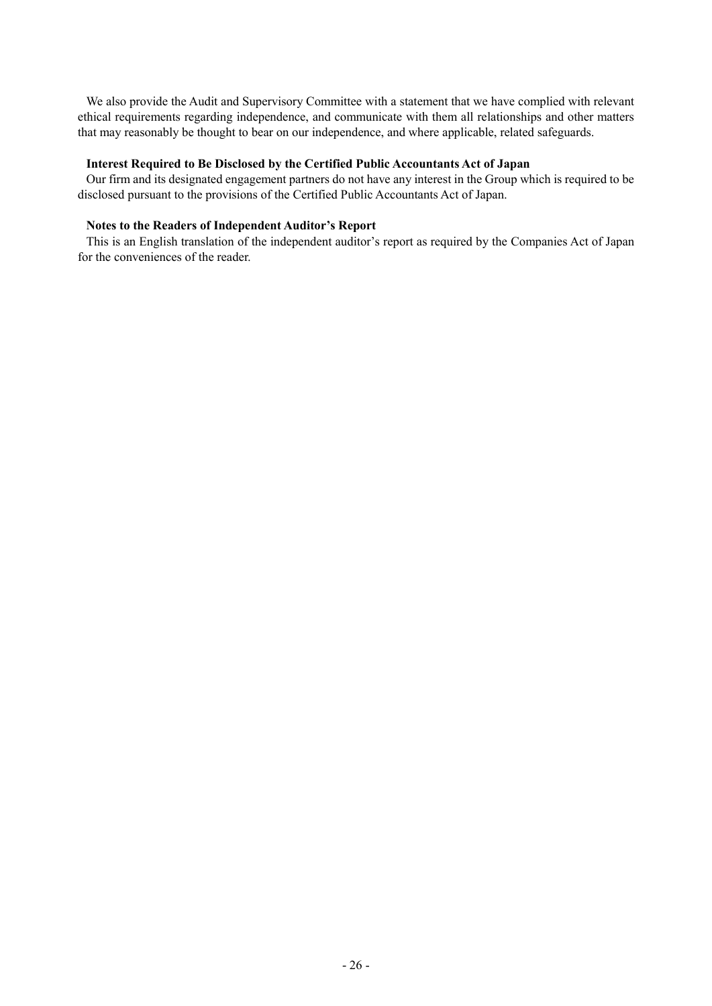We also provide the Audit and Supervisory Committee with a statement that we have complied with relevant ethical requirements regarding independence, and communicate with them all relationships and other matters that may reasonably be thought to bear on our independence, and where applicable, related safeguards.

#### **Interest Required to Be Disclosed by the Certified Public Accountants Act of Japan**

Our firm and its designated engagement partners do not have any interest in the Group which is required to be disclosed pursuant to the provisions of the Certified Public Accountants Act of Japan.

#### **Notes to the Readers of Independent Auditor's Report**

This is an English translation of the independent auditor's report as required by the Companies Act of Japan for the conveniences of the reader.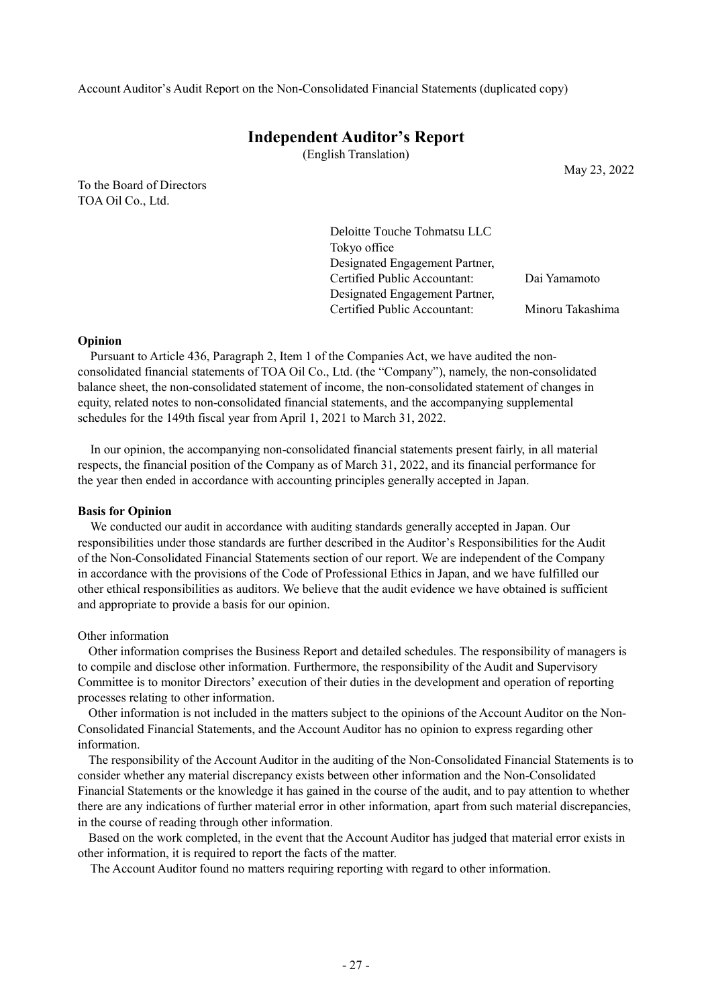Account Auditor's Audit Report on the Non-Consolidated Financial Statements (duplicated copy)

### **Independent Auditor's Report**

(English Translation)

May 23, 2022

To the Board of Directors TOA Oil Co., Ltd.

> Deloitte Touche Tohmatsu LLC Tokyo office Designated Engagement Partner, Certified Public Accountant: Dai Yamamoto Designated Engagement Partner, Certified Public Accountant: Minoru Takashima

#### **Opinion**

Pursuant to Article 436, Paragraph 2, Item 1 of the Companies Act, we have audited the nonconsolidated financial statements of TOA Oil Co., Ltd. (the "Company"), namely, the non-consolidated balance sheet, the non-consolidated statement of income, the non-consolidated statement of changes in equity, related notes to non-consolidated financial statements, and the accompanying supplemental schedules for the 149th fiscal year from April 1, 2021 to March 31, 2022.

In our opinion, the accompanying non-consolidated financial statements present fairly, in all material respects, the financial position of the Company as of March 31, 2022, and its financial performance for the year then ended in accordance with accounting principles generally accepted in Japan.

#### **Basis for Opinion**

We conducted our audit in accordance with auditing standards generally accepted in Japan. Our responsibilities under those standards are further described in the Auditor's Responsibilities for the Audit of the Non-Consolidated Financial Statements section of our report. We are independent of the Company in accordance with the provisions of the Code of Professional Ethics in Japan, and we have fulfilled our other ethical responsibilities as auditors. We believe that the audit evidence we have obtained is sufficient and appropriate to provide a basis for our opinion.

#### Other information

Other information comprises the Business Report and detailed schedules. The responsibility of managers is to compile and disclose other information. Furthermore, the responsibility of the Audit and Supervisory Committee is to monitor Directors' execution of their duties in the development and operation of reporting processes relating to other information.

Other information is not included in the matters subject to the opinions of the Account Auditor on the Non-Consolidated Financial Statements, and the Account Auditor has no opinion to express regarding other information.

The responsibility of the Account Auditor in the auditing of the Non-Consolidated Financial Statements is to consider whether any material discrepancy exists between other information and the Non-Consolidated Financial Statements or the knowledge it has gained in the course of the audit, and to pay attention to whether there are any indications of further material error in other information, apart from such material discrepancies, in the course of reading through other information.

Based on the work completed, in the event that the Account Auditor has judged that material error exists in other information, it is required to report the facts of the matter.

The Account Auditor found no matters requiring reporting with regard to other information.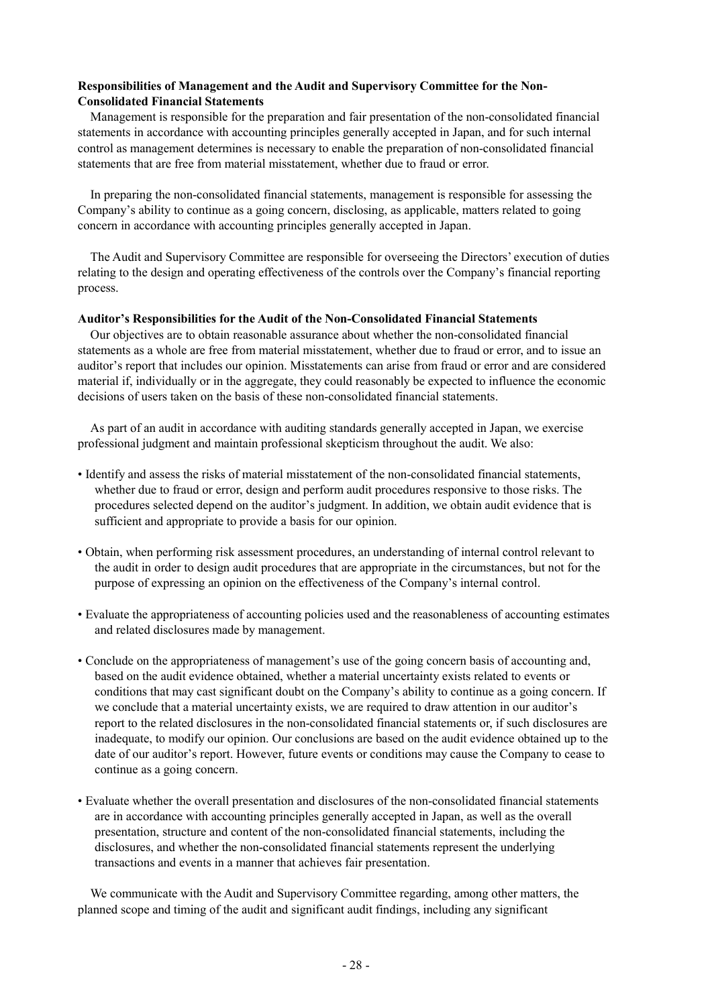#### **Responsibilities of Management and the Audit and Supervisory Committee for the Non-Consolidated Financial Statements**

Management is responsible for the preparation and fair presentation of the non-consolidated financial statements in accordance with accounting principles generally accepted in Japan, and for such internal control as management determines is necessary to enable the preparation of non-consolidated financial statements that are free from material misstatement, whether due to fraud or error.

In preparing the non-consolidated financial statements, management is responsible for assessing the Company's ability to continue as a going concern, disclosing, as applicable, matters related to going concern in accordance with accounting principles generally accepted in Japan.

The Audit and Supervisory Committee are responsible for overseeing the Directors' execution of duties relating to the design and operating effectiveness of the controls over the Company's financial reporting process.

#### **Auditor's Responsibilities for the Audit of the Non-Consolidated Financial Statements**

Our objectives are to obtain reasonable assurance about whether the non-consolidated financial statements as a whole are free from material misstatement, whether due to fraud or error, and to issue an auditor's report that includes our opinion. Misstatements can arise from fraud or error and are considered material if, individually or in the aggregate, they could reasonably be expected to influence the economic decisions of users taken on the basis of these non-consolidated financial statements.

As part of an audit in accordance with auditing standards generally accepted in Japan, we exercise professional judgment and maintain professional skepticism throughout the audit. We also:

- Identify and assess the risks of material misstatement of the non-consolidated financial statements, whether due to fraud or error, design and perform audit procedures responsive to those risks. The procedures selected depend on the auditor's judgment. In addition, we obtain audit evidence that is sufficient and appropriate to provide a basis for our opinion.
- Obtain, when performing risk assessment procedures, an understanding of internal control relevant to the audit in order to design audit procedures that are appropriate in the circumstances, but not for the purpose of expressing an opinion on the effectiveness of the Company's internal control.
- Evaluate the appropriateness of accounting policies used and the reasonableness of accounting estimates and related disclosures made by management.
- Conclude on the appropriateness of management's use of the going concern basis of accounting and, based on the audit evidence obtained, whether a material uncertainty exists related to events or conditions that may cast significant doubt on the Company's ability to continue as a going concern. If we conclude that a material uncertainty exists, we are required to draw attention in our auditor's report to the related disclosures in the non-consolidated financial statements or, if such disclosures are inadequate, to modify our opinion. Our conclusions are based on the audit evidence obtained up to the date of our auditor's report. However, future events or conditions may cause the Company to cease to continue as a going concern.
- Evaluate whether the overall presentation and disclosures of the non-consolidated financial statements are in accordance with accounting principles generally accepted in Japan, as well as the overall presentation, structure and content of the non-consolidated financial statements, including the disclosures, and whether the non-consolidated financial statements represent the underlying transactions and events in a manner that achieves fair presentation.

We communicate with the Audit and Supervisory Committee regarding, among other matters, the planned scope and timing of the audit and significant audit findings, including any significant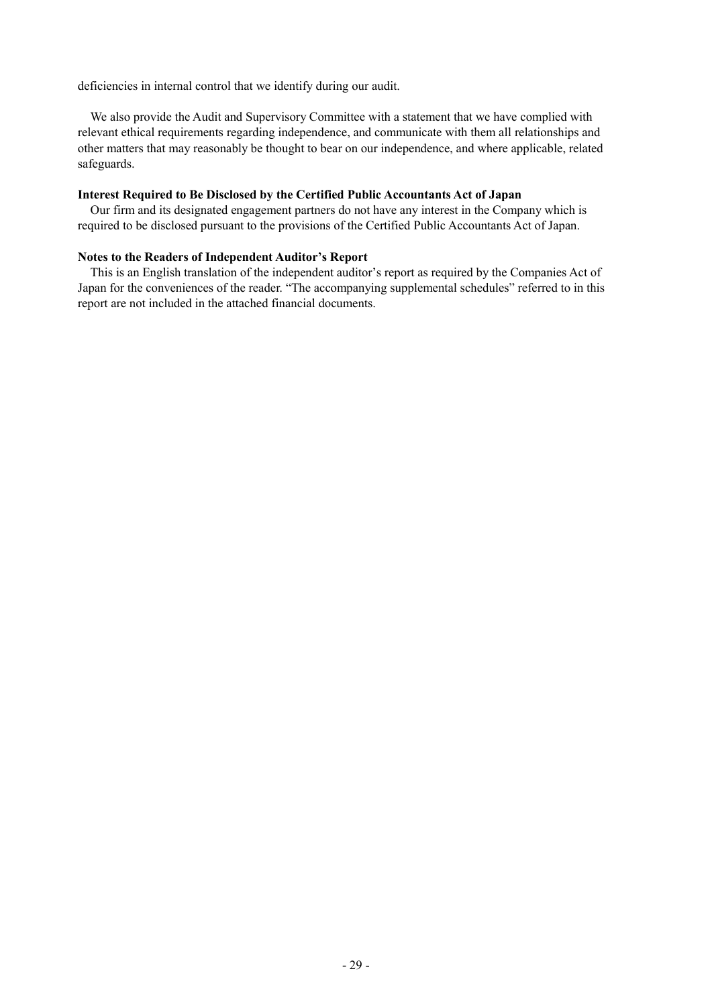deficiencies in internal control that we identify during our audit.

We also provide the Audit and Supervisory Committee with a statement that we have complied with relevant ethical requirements regarding independence, and communicate with them all relationships and other matters that may reasonably be thought to bear on our independence, and where applicable, related safeguards.

#### **Interest Required to Be Disclosed by the Certified Public Accountants Act of Japan**

Our firm and its designated engagement partners do not have any interest in the Company which is required to be disclosed pursuant to the provisions of the Certified Public Accountants Act of Japan.

#### **Notes to the Readers of Independent Auditor's Report**

This is an English translation of the independent auditor's report as required by the Companies Act of Japan for the conveniences of the reader. "The accompanying supplemental schedules" referred to in this report are not included in the attached financial documents.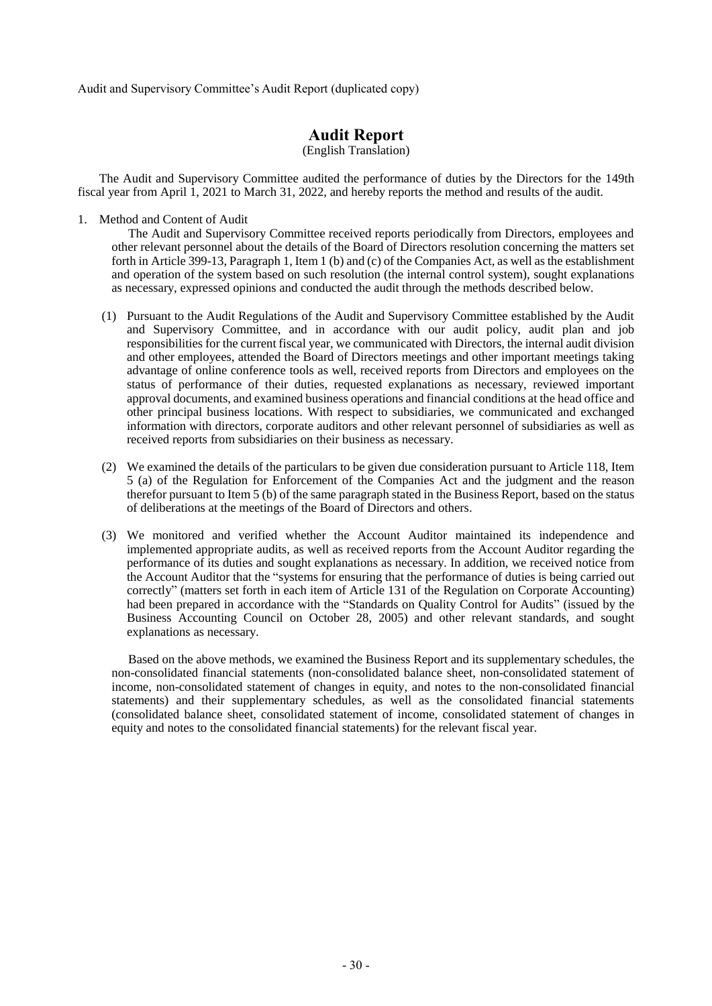Audit and Supervisory Committee's Audit Report (duplicated copy)

### **Audit Report**

(English Translation)

The Audit and Supervisory Committee audited the performance of duties by the Directors for the 149th fiscal year from April 1, 2021 to March 31, 2022, and hereby reports the method and results of the audit.

1. Method and Content of Audit

The Audit and Supervisory Committee received reports periodically from Directors, employees and other relevant personnel about the details of the Board of Directors resolution concerning the matters set forth in Article 399-13, Paragraph 1, Item 1 (b) and (c) of the Companies Act, as well as the establishment and operation of the system based on such resolution (the internal control system), sought explanations as necessary, expressed opinions and conducted the audit through the methods described below.

- (1) Pursuant to the Audit Regulations of the Audit and Supervisory Committee established by the Audit and Supervisory Committee, and in accordance with our audit policy, audit plan and job responsibilities for the current fiscal year, we communicated with Directors, the internal audit division and other employees, attended the Board of Directors meetings and other important meetings taking advantage of online conference tools as well, received reports from Directors and employees on the status of performance of their duties, requested explanations as necessary, reviewed important approval documents, and examined business operations and financial conditions at the head office and other principal business locations. With respect to subsidiaries, we communicated and exchanged information with directors, corporate auditors and other relevant personnel of subsidiaries as well as received reports from subsidiaries on their business as necessary.
- (2) We examined the details of the particulars to be given due consideration pursuant to Article 118, Item 5 (a) of the Regulation for Enforcement of the Companies Act and the judgment and the reason therefor pursuant to Item 5 (b) of the same paragraph stated in the Business Report, based on the status of deliberations at the meetings of the Board of Directors and others.
- (3) We monitored and verified whether the Account Auditor maintained its independence and implemented appropriate audits, as well as received reports from the Account Auditor regarding the performance of its duties and sought explanations as necessary. In addition, we received notice from the Account Auditor that the "systems for ensuring that the performance of duties is being carried out correctly" (matters set forth in each item of Article 131 of the Regulation on Corporate Accounting) had been prepared in accordance with the "Standards on Quality Control for Audits" (issued by the Business Accounting Council on October 28, 2005) and other relevant standards, and sought explanations as necessary.

Based on the above methods, we examined the Business Report and its supplementary schedules, the non-consolidated financial statements (non-consolidated balance sheet, non-consolidated statement of income, non-consolidated statement of changes in equity, and notes to the non-consolidated financial statements) and their supplementary schedules, as well as the consolidated financial statements (consolidated balance sheet, consolidated statement of income, consolidated statement of changes in equity and notes to the consolidated financial statements) for the relevant fiscal year.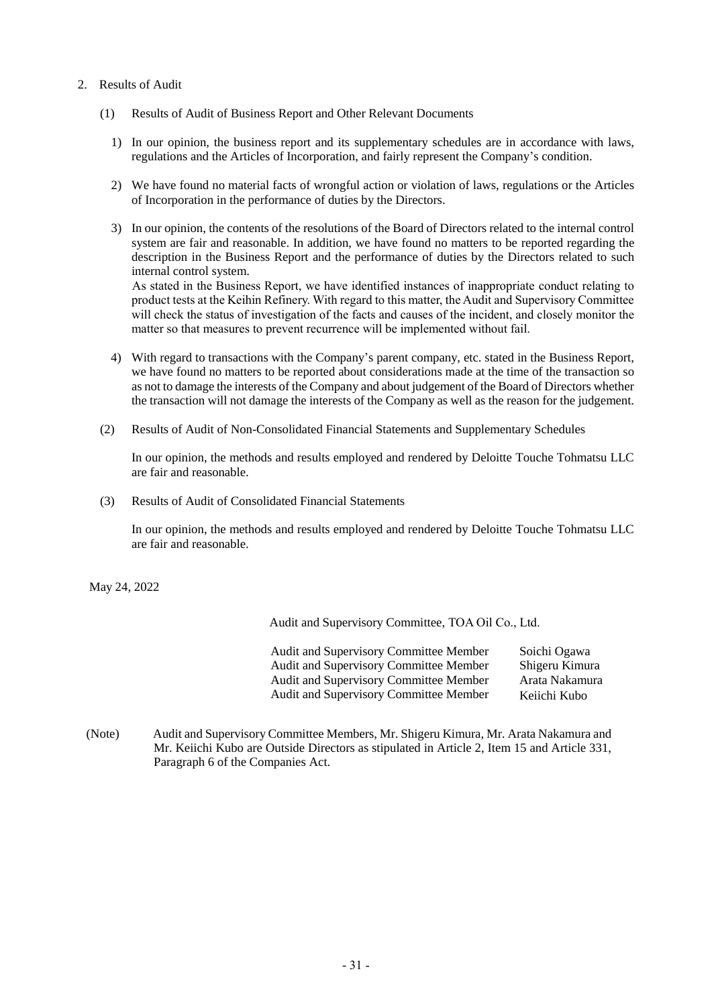#### 2. Results of Audit

- (1) Results of Audit of Business Report and Other Relevant Documents
	- 1) In our opinion, the business report and its supplementary schedules are in accordance with laws, regulations and the Articles of Incorporation, and fairly represent the Company's condition.
	- 2) We have found no material facts of wrongful action or violation of laws, regulations or the Articles of Incorporation in the performance of duties by the Directors.
	- 3) In our opinion, the contents of the resolutions of the Board of Directors related to the internal control system are fair and reasonable. In addition, we have found no matters to be reported regarding the description in the Business Report and the performance of duties by the Directors related to such internal control system.

As stated in the Business Report, we have identified instances of inappropriate conduct relating to product tests at the Keihin Refinery. With regard to this matter, the Audit and Supervisory Committee will check the status of investigation of the facts and causes of the incident, and closely monitor the matter so that measures to prevent recurrence will be implemented without fail.

- 4) With regard to transactions with the Company's parent company, etc. stated in the Business Report, we have found no matters to be reported about considerations made at the time of the transaction so as not to damage the interests of the Company and about judgement of the Board of Directors whether the transaction will not damage the interests of the Company as well as the reason for the judgement.
- (2) Results of Audit of Non-Consolidated Financial Statements and Supplementary Schedules

In our opinion, the methods and results employed and rendered by Deloitte Touche Tohmatsu LLC are fair and reasonable.

(3) Results of Audit of Consolidated Financial Statements

In our opinion, the methods and results employed and rendered by Deloitte Touche Tohmatsu LLC are fair and reasonable.

May 24, 2022

Audit and Supervisory Committee, TOA Oil Co., Ltd.

| <b>Audit and Supervisory Committee Member</b> | Soichi Ogawa   |
|-----------------------------------------------|----------------|
| <b>Audit and Supervisory Committee Member</b> | Shigeru Kimura |
| <b>Audit and Supervisory Committee Member</b> | Arata Nakamura |
| <b>Audit and Supervisory Committee Member</b> | Keiichi Kubo   |

(Note) Audit and Supervisory Committee Members, Mr. Shigeru Kimura, Mr. Arata Nakamura and Mr. Keiichi Kubo are Outside Directors as stipulated in Article 2, Item 15 and Article 331, Paragraph 6 of the Companies Act.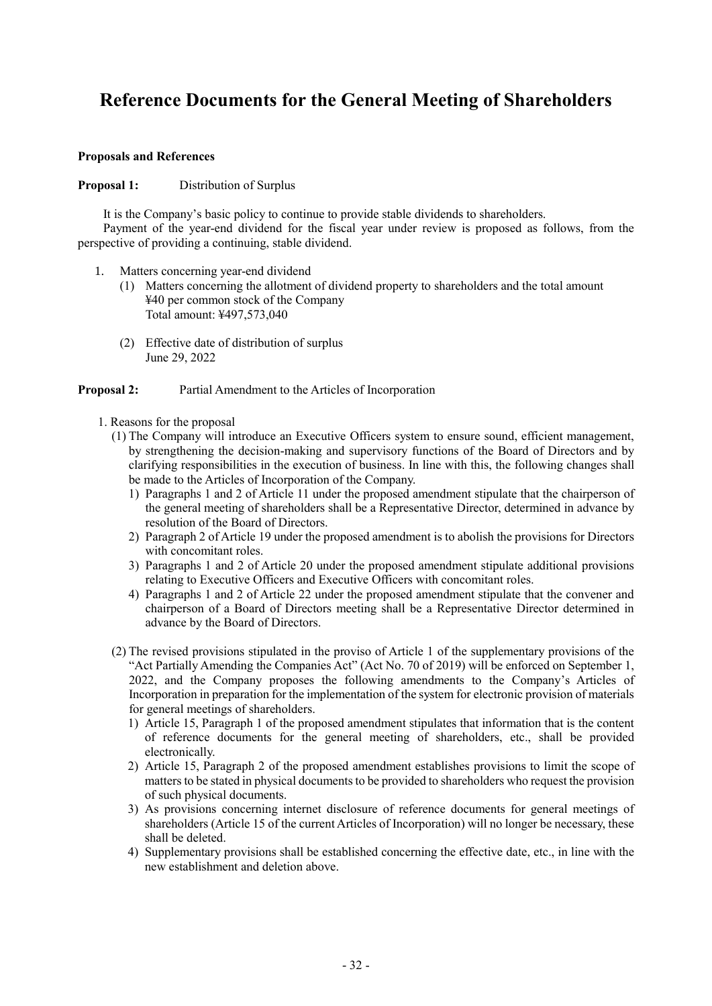### **Reference Documents for the General Meeting of Shareholders**

#### **Proposals and References**

#### **Proposal 1:** Distribution of Surplus

It is the Company's basic policy to continue to provide stable dividends to shareholders.

Payment of the year-end dividend for the fiscal year under review is proposed as follows, from the perspective of providing a continuing, stable dividend.

- 1. Matters concerning year-end dividend
	- (1) Matters concerning the allotment of dividend property to shareholders and the total amount ¥40 per common stock of the Company Total amount: ¥497,573,040
	- (2) Effective date of distribution of surplus June 29, 2022

#### **Proposal 2:** Partial Amendment to the Articles of Incorporation

- 1. Reasons for the proposal
	- (1) The Company will introduce an Executive Officers system to ensure sound, efficient management, by strengthening the decision-making and supervisory functions of the Board of Directors and by clarifying responsibilities in the execution of business. In line with this, the following changes shall be made to the Articles of Incorporation of the Company.
		- 1) Paragraphs 1 and 2 of Article 11 under the proposed amendment stipulate that the chairperson of the general meeting of shareholders shall be a Representative Director, determined in advance by resolution of the Board of Directors.
		- 2) Paragraph 2 of Article 19 under the proposed amendment is to abolish the provisions for Directors with concomitant roles.
		- 3) Paragraphs 1 and 2 of Article 20 under the proposed amendment stipulate additional provisions relating to Executive Officers and Executive Officers with concomitant roles.
		- 4) Paragraphs 1 and 2 of Article 22 under the proposed amendment stipulate that the convener and chairperson of a Board of Directors meeting shall be a Representative Director determined in advance by the Board of Directors.
	- (2) The revised provisions stipulated in the proviso of Article 1 of the supplementary provisions of the "Act Partially Amending the Companies Act" (Act No. 70 of 2019) will be enforced on September 1, 2022, and the Company proposes the following amendments to the Company's Articles of Incorporation in preparation for the implementation of the system for electronic provision of materials for general meetings of shareholders.
		- 1) Article 15, Paragraph 1 of the proposed amendment stipulates that information that is the content of reference documents for the general meeting of shareholders, etc., shall be provided electronically.
		- 2) Article 15, Paragraph 2 of the proposed amendment establishes provisions to limit the scope of matters to be stated in physical documents to be provided to shareholders who request the provision of such physical documents.
		- 3) As provisions concerning internet disclosure of reference documents for general meetings of shareholders (Article 15 of the current Articles of Incorporation) will no longer be necessary, these shall be deleted.
		- 4) Supplementary provisions shall be established concerning the effective date, etc., in line with the new establishment and deletion above.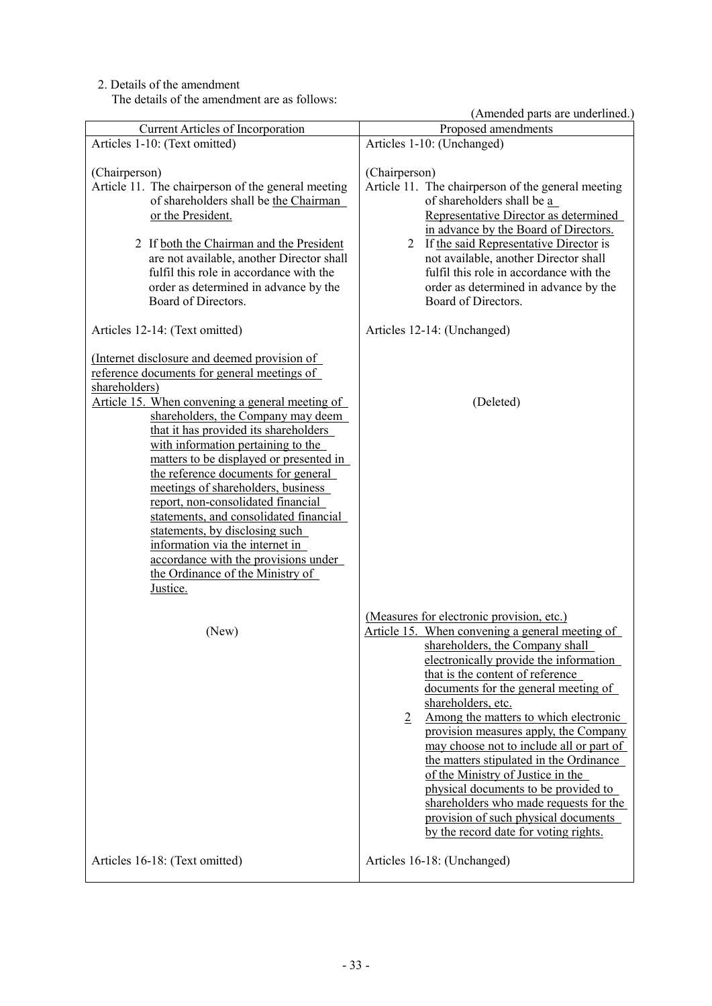#### 2. Details of the amendment

The details of the amendment are as follows:

(Amended parts are underlined.)

| Current Articles of Incorporation                                                                                                                                                                                                                                                                                                                                                                                                                                                                                                                                                                                                                         | $(x$ included parts are underlined.<br>Proposed amendments                                                                                                                                                                                                                                                                                                                                                                                                                                                                                                                                                                                                                     |
|-----------------------------------------------------------------------------------------------------------------------------------------------------------------------------------------------------------------------------------------------------------------------------------------------------------------------------------------------------------------------------------------------------------------------------------------------------------------------------------------------------------------------------------------------------------------------------------------------------------------------------------------------------------|--------------------------------------------------------------------------------------------------------------------------------------------------------------------------------------------------------------------------------------------------------------------------------------------------------------------------------------------------------------------------------------------------------------------------------------------------------------------------------------------------------------------------------------------------------------------------------------------------------------------------------------------------------------------------------|
| Articles 1-10: (Text omitted)                                                                                                                                                                                                                                                                                                                                                                                                                                                                                                                                                                                                                             | Articles 1-10: (Unchanged)                                                                                                                                                                                                                                                                                                                                                                                                                                                                                                                                                                                                                                                     |
| (Chairperson)<br>Article 11. The chairperson of the general meeting<br>of shareholders shall be the Chairman<br>or the President.<br>2 If both the Chairman and the President<br>are not available, another Director shall<br>fulfil this role in accordance with the<br>order as determined in advance by the<br>Board of Directors.                                                                                                                                                                                                                                                                                                                     | (Chairperson)<br>Article 11. The chairperson of the general meeting<br>of shareholders shall be a<br>Representative Director as determined<br>in advance by the Board of Directors.<br>2 If the said Representative Director is<br>not available, another Director shall<br>fulfil this role in accordance with the<br>order as determined in advance by the<br>Board of Directors.                                                                                                                                                                                                                                                                                            |
| Articles 12-14: (Text omitted)                                                                                                                                                                                                                                                                                                                                                                                                                                                                                                                                                                                                                            | Articles 12-14: (Unchanged)                                                                                                                                                                                                                                                                                                                                                                                                                                                                                                                                                                                                                                                    |
| (Internet disclosure and deemed provision of<br>reference documents for general meetings of<br>shareholders)<br>Article 15. When convening a general meeting of<br>shareholders, the Company may deem<br>that it has provided its shareholders<br>with information pertaining to the<br>matters to be displayed or presented in<br>the reference documents for general<br>meetings of shareholders, business<br>report, non-consolidated financial<br>statements, and consolidated financial<br>statements, by disclosing such<br>information via the internet in<br>accordance with the provisions under<br>the Ordinance of the Ministry of<br>Justice. | (Deleted)                                                                                                                                                                                                                                                                                                                                                                                                                                                                                                                                                                                                                                                                      |
| (New)                                                                                                                                                                                                                                                                                                                                                                                                                                                                                                                                                                                                                                                     | (Measures for electronic provision, etc.)<br>Article 15. When convening a general meeting of<br>shareholders, the Company shall<br>electronically provide the information<br>that is the content of reference<br>documents for the general meeting of<br>shareholders, etc.<br>Among the matters to which electronic<br>$\overline{2}$<br>provision measures apply, the Company<br>may choose not to include all or part of<br>the matters stipulated in the Ordinance<br>of the Ministry of Justice in the<br>physical documents to be provided to<br>shareholders who made requests for the<br>provision of such physical documents<br>by the record date for voting rights. |
| Articles 16-18: (Text omitted)                                                                                                                                                                                                                                                                                                                                                                                                                                                                                                                                                                                                                            | Articles 16-18: (Unchanged)                                                                                                                                                                                                                                                                                                                                                                                                                                                                                                                                                                                                                                                    |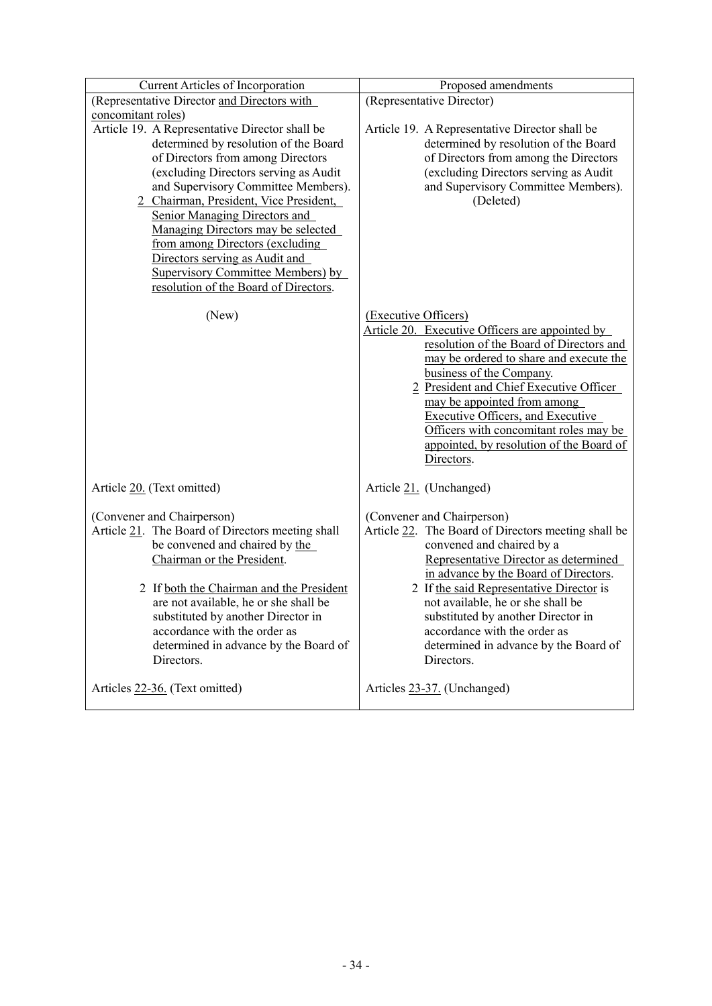| Current Articles of Incorporation                                                                                                                                                                                                                                                                                                                                                                                                                                                                                    | Proposed amendments                                                                                                                                                                                                                                                                                                                                                                                            |
|----------------------------------------------------------------------------------------------------------------------------------------------------------------------------------------------------------------------------------------------------------------------------------------------------------------------------------------------------------------------------------------------------------------------------------------------------------------------------------------------------------------------|----------------------------------------------------------------------------------------------------------------------------------------------------------------------------------------------------------------------------------------------------------------------------------------------------------------------------------------------------------------------------------------------------------------|
| (Representative Director and Directors with                                                                                                                                                                                                                                                                                                                                                                                                                                                                          | (Representative Director)                                                                                                                                                                                                                                                                                                                                                                                      |
| concomitant roles)<br>Article 19. A Representative Director shall be<br>determined by resolution of the Board<br>of Directors from among Directors<br>(excluding Directors serving as Audit<br>and Supervisory Committee Members).<br>2 Chairman, President, Vice President,<br><b>Senior Managing Directors and</b><br>Managing Directors may be selected<br>from among Directors (excluding<br>Directors serving as Audit and<br><b>Supervisory Committee Members)</b> by<br>resolution of the Board of Directors. | Article 19. A Representative Director shall be<br>determined by resolution of the Board<br>of Directors from among the Directors<br>(excluding Directors serving as Audit<br>and Supervisory Committee Members).<br>(Deleted)                                                                                                                                                                                  |
| (New)                                                                                                                                                                                                                                                                                                                                                                                                                                                                                                                | (Executive Officers)<br>Article 20. Executive Officers are appointed by<br>resolution of the Board of Directors and<br>may be ordered to share and execute the<br>business of the Company.<br>2 President and Chief Executive Officer<br>may be appointed from among<br>Executive Officers, and Executive<br>Officers with concomitant roles may be<br>appointed, by resolution of the Board of<br>Directors.  |
| Article 20. (Text omitted)                                                                                                                                                                                                                                                                                                                                                                                                                                                                                           | Article 21. (Unchanged)                                                                                                                                                                                                                                                                                                                                                                                        |
| (Convener and Chairperson)<br>Article 21. The Board of Directors meeting shall<br>be convened and chaired by the<br>Chairman or the President.<br>2 If both the Chairman and the President<br>are not available, he or she shall be<br>substituted by another Director in<br>accordance with the order as<br>determined in advance by the Board of<br>Directors.                                                                                                                                                     | (Convener and Chairperson)<br>Article 22. The Board of Directors meeting shall be<br>convened and chaired by a<br>Representative Director as determined<br>in advance by the Board of Directors.<br>2 If the said Representative Director is<br>not available, he or she shall be<br>substituted by another Director in<br>accordance with the order as<br>determined in advance by the Board of<br>Directors. |
| Articles 22-36. (Text omitted)                                                                                                                                                                                                                                                                                                                                                                                                                                                                                       | Articles 23-37. (Unchanged)                                                                                                                                                                                                                                                                                                                                                                                    |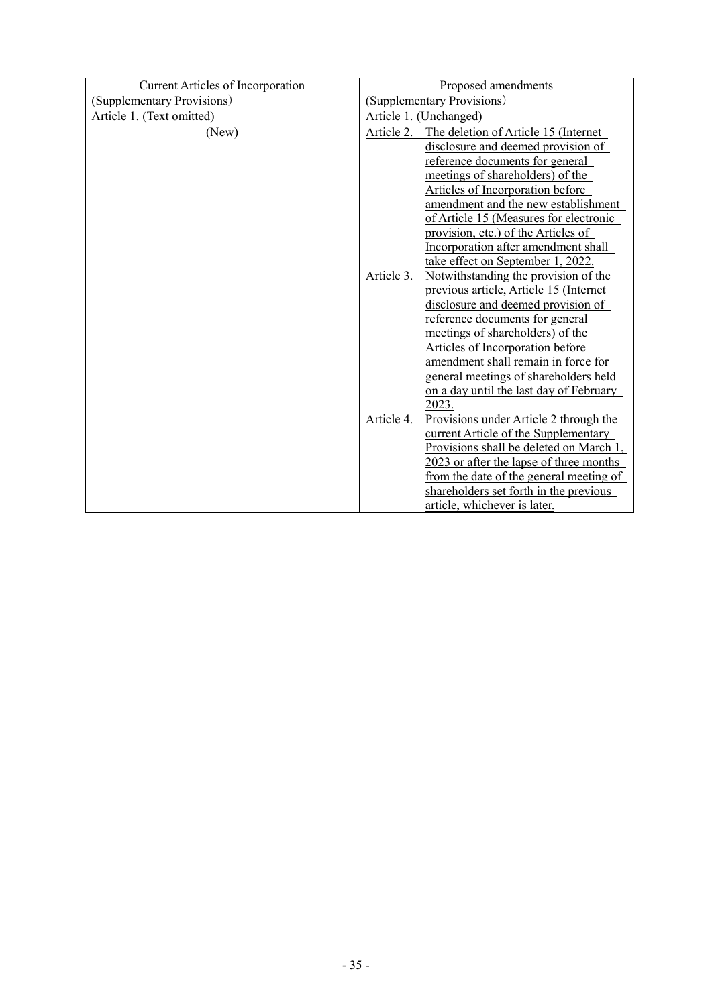| Current Articles of Incorporation | Proposed amendments                                                 |  |
|-----------------------------------|---------------------------------------------------------------------|--|
| (Supplementary Provisions)        | (Supplementary Provisions)                                          |  |
| Article 1. (Text omitted)         | Article 1. (Unchanged)                                              |  |
| (New)                             | Article 2. The deletion of Article 15 (Internet                     |  |
|                                   | disclosure and deemed provision of                                  |  |
|                                   | reference documents for general                                     |  |
|                                   | meetings of shareholders) of the                                    |  |
|                                   | Articles of Incorporation before                                    |  |
|                                   | amendment and the new establishment                                 |  |
|                                   | of Article 15 (Measures for electronic                              |  |
|                                   | provision, etc.) of the Articles of                                 |  |
|                                   | Incorporation after amendment shall                                 |  |
|                                   | take effect on September 1, 2022.                                   |  |
|                                   | Notwithstanding the provision of the<br>Article 3.                  |  |
|                                   | previous article, Article 15 (Internet                              |  |
|                                   | disclosure and deemed provision of                                  |  |
|                                   | reference documents for general<br>meetings of shareholders) of the |  |
|                                   | Articles of Incorporation before                                    |  |
|                                   | amendment shall remain in force for                                 |  |
|                                   | general meetings of shareholders held                               |  |
|                                   | on a day until the last day of February                             |  |
|                                   | 2023.                                                               |  |
|                                   | Article 4.<br>Provisions under Article 2 through the                |  |
|                                   | current Article of the Supplementary                                |  |
|                                   | Provisions shall be deleted on March 1,                             |  |
|                                   | 2023 or after the lapse of three months                             |  |
|                                   | from the date of the general meeting of                             |  |
|                                   | shareholders set forth in the previous                              |  |
|                                   | article, whichever is later.                                        |  |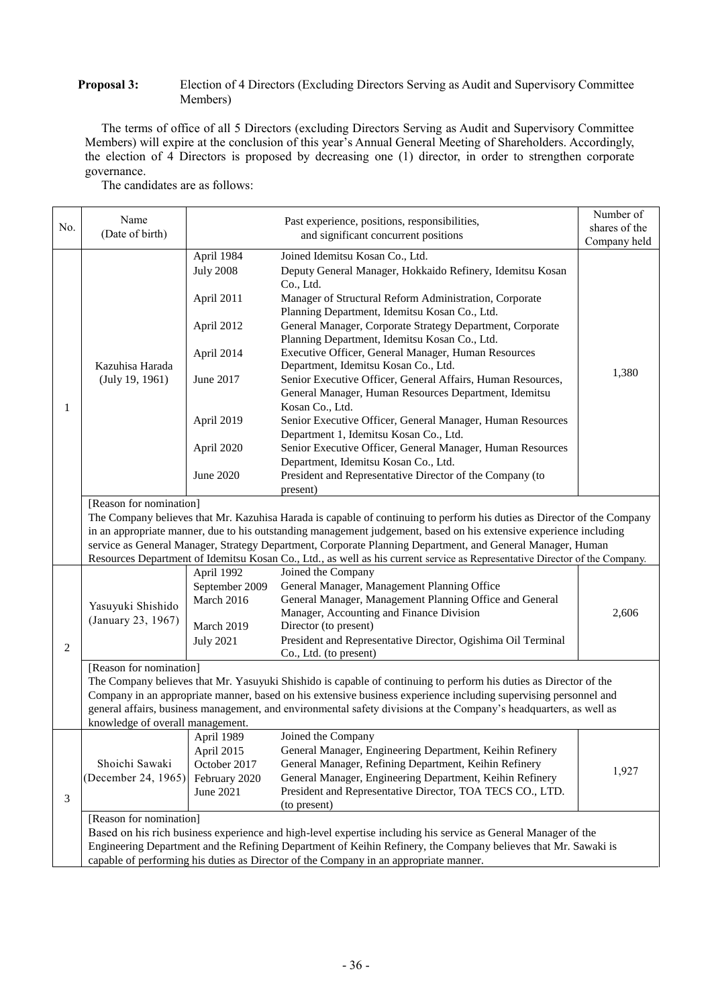#### **Proposal 3:** Election of 4 Directors (Excluding Directors Serving as Audit and Supervisory Committee Members)

The terms of office of all 5 Directors (excluding Directors Serving as Audit and Supervisory Committee Members) will expire at the conclusion of this year's Annual General Meeting of Shareholders. Accordingly, the election of 4 Directors is proposed by decreasing one (1) director, in order to strengthen corporate governance.

The candidates are as follows:

| No.            | Name                                                                                                                                                                                                                                                                                                                                                                                                                                                                                                                              |                                                                                                                                | Past experience, positions, responsibilities,                                                                                                                                                                                                                                                                                                                                                                                                                                                                                                                                                                                                                                                                                                                                                                                                          | Number of<br>shares of the |
|----------------|-----------------------------------------------------------------------------------------------------------------------------------------------------------------------------------------------------------------------------------------------------------------------------------------------------------------------------------------------------------------------------------------------------------------------------------------------------------------------------------------------------------------------------------|--------------------------------------------------------------------------------------------------------------------------------|--------------------------------------------------------------------------------------------------------------------------------------------------------------------------------------------------------------------------------------------------------------------------------------------------------------------------------------------------------------------------------------------------------------------------------------------------------------------------------------------------------------------------------------------------------------------------------------------------------------------------------------------------------------------------------------------------------------------------------------------------------------------------------------------------------------------------------------------------------|----------------------------|
|                | (Date of birth)                                                                                                                                                                                                                                                                                                                                                                                                                                                                                                                   |                                                                                                                                | and significant concurrent positions                                                                                                                                                                                                                                                                                                                                                                                                                                                                                                                                                                                                                                                                                                                                                                                                                   | Company held               |
| 1              | Kazuhisa Harada<br>(July 19, 1961)                                                                                                                                                                                                                                                                                                                                                                                                                                                                                                | April 1984<br><b>July 2008</b><br>April 2011<br>April 2012<br>April 2014<br>June 2017<br>April 2019<br>April 2020<br>June 2020 | Joined Idemitsu Kosan Co., Ltd.<br>Deputy General Manager, Hokkaido Refinery, Idemitsu Kosan<br>Co., Ltd.<br>Manager of Structural Reform Administration, Corporate<br>Planning Department, Idemitsu Kosan Co., Ltd.<br>General Manager, Corporate Strategy Department, Corporate<br>Planning Department, Idemitsu Kosan Co., Ltd.<br>Executive Officer, General Manager, Human Resources<br>Department, Idemitsu Kosan Co., Ltd.<br>Senior Executive Officer, General Affairs, Human Resources,<br>General Manager, Human Resources Department, Idemitsu<br>Kosan Co., Ltd.<br>Senior Executive Officer, General Manager, Human Resources<br>Department 1, Idemitsu Kosan Co., Ltd.<br>Senior Executive Officer, General Manager, Human Resources<br>Department, Idemitsu Kosan Co., Ltd.<br>President and Representative Director of the Company (to | 1,380                      |
|                | present)<br>[Reason for nomination]<br>The Company believes that Mr. Kazuhisa Harada is capable of continuing to perform his duties as Director of the Company<br>in an appropriate manner, due to his outstanding management judgement, based on his extensive experience including<br>service as General Manager, Strategy Department, Corporate Planning Department, and General Manager, Human<br>Resources Department of Idemitsu Kosan Co., Ltd., as well as his current service as Representative Director of the Company. |                                                                                                                                |                                                                                                                                                                                                                                                                                                                                                                                                                                                                                                                                                                                                                                                                                                                                                                                                                                                        |                            |
| $\overline{2}$ | Yasuyuki Shishido<br>(January 23, 1967)                                                                                                                                                                                                                                                                                                                                                                                                                                                                                           | April 1992<br>September 2009<br>March 2016<br>March 2019<br><b>July 2021</b>                                                   | Joined the Company<br>General Manager, Management Planning Office<br>General Manager, Management Planning Office and General<br>Manager, Accounting and Finance Division<br>Director (to present)<br>President and Representative Director, Ogishima Oil Terminal<br>Co., Ltd. (to present)                                                                                                                                                                                                                                                                                                                                                                                                                                                                                                                                                            | 2,606                      |
|                | [Reason for nomination]<br>The Company believes that Mr. Yasuyuki Shishido is capable of continuing to perform his duties as Director of the<br>Company in an appropriate manner, based on his extensive business experience including supervising personnel and<br>general affairs, business management, and environmental safety divisions at the Company's headquarters, as well as<br>knowledge of overall management.                                                                                                        |                                                                                                                                |                                                                                                                                                                                                                                                                                                                                                                                                                                                                                                                                                                                                                                                                                                                                                                                                                                                        |                            |
| 3              | Shoichi Sawaki<br>(December 24, 1965)                                                                                                                                                                                                                                                                                                                                                                                                                                                                                             | April 1989<br>April 2015<br>October 2017<br>February 2020<br>June 2021                                                         | Joined the Company<br>General Manager, Engineering Department, Keihin Refinery<br>General Manager, Refining Department, Keihin Refinery<br>General Manager, Engineering Department, Keihin Refinery<br>President and Representative Director, TOA TECS CO., LTD.<br>(to present)                                                                                                                                                                                                                                                                                                                                                                                                                                                                                                                                                                       | 1,927                      |
|                | [Reason for nomination]                                                                                                                                                                                                                                                                                                                                                                                                                                                                                                           |                                                                                                                                | Based on his rich business experience and high-level expertise including his service as General Manager of the<br>Engineering Department and the Refining Department of Keihin Refinery, the Company believes that Mr. Sawaki is<br>capable of performing his duties as Director of the Company in an appropriate manner.                                                                                                                                                                                                                                                                                                                                                                                                                                                                                                                              |                            |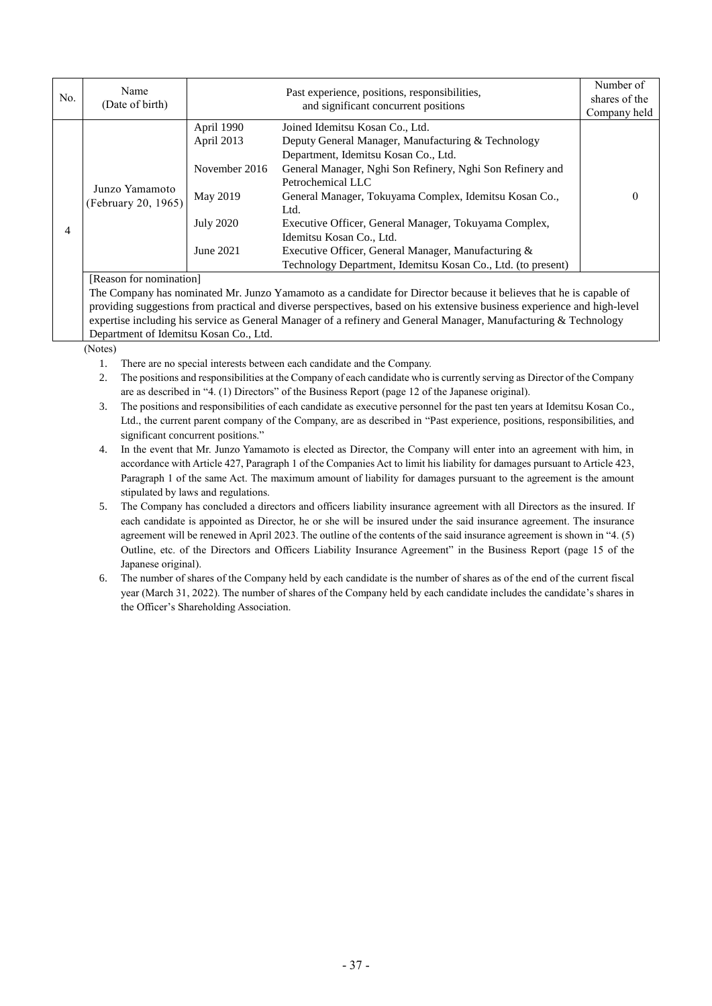| No. | Name<br>(Date of birth)               |                                                                           | Past experience, positions, responsibilities,<br>and significant concurrent positions                                                                                                                                                                                                                                                      | Number of<br>shares of the<br>Company held |
|-----|---------------------------------------|---------------------------------------------------------------------------|--------------------------------------------------------------------------------------------------------------------------------------------------------------------------------------------------------------------------------------------------------------------------------------------------------------------------------------------|--------------------------------------------|
| 4   | Junzo Yamamoto<br>(February 20, 1965) | April 1990<br>April 2013<br>November 2016<br>May 2019<br><b>July 2020</b> | Joined Idemitsu Kosan Co., Ltd.<br>Deputy General Manager, Manufacturing & Technology<br>Department, Idemitsu Kosan Co., Ltd.<br>General Manager, Nghi Son Refinery, Nghi Son Refinery and<br>Petrochemical LLC<br>General Manager, Tokuyama Complex, Idemitsu Kosan Co.,<br>Ltd.<br>Executive Officer, General Manager, Tokuyama Complex, |                                            |
|     |                                       | June 2021                                                                 | Idemitsu Kosan Co., Ltd.<br>Executive Officer, General Manager, Manufacturing &<br>Technology Department, Idemitsu Kosan Co., Ltd. (to present)                                                                                                                                                                                            |                                            |

[Reason for nomination]

The Company has nominated Mr. Junzo Yamamoto as a candidate for Director because it believes that he is capable of providing suggestions from practical and diverse perspectives, based on his extensive business experience and high-level expertise including his service as General Manager of a refinery and General Manager, Manufacturing & Technology Department of Idemitsu Kosan Co., Ltd.

(Notes)

1. There are no special interests between each candidate and the Company.

2. The positions and responsibilities at the Company of each candidate who is currently serving as Director of the Company are as described in "4. (1) Directors" of the Business Report (page 12 of the Japanese original).

3. The positions and responsibilities of each candidate as executive personnel for the past ten years at Idemitsu Kosan Co., Ltd., the current parent company of the Company, are as described in "Past experience, positions, responsibilities, and significant concurrent positions."

4. In the event that Mr. Junzo Yamamoto is elected as Director, the Company will enter into an agreement with him, in accordance with Article 427, Paragraph 1 of the Companies Act to limit his liability for damages pursuant to Article 423, Paragraph 1 of the same Act. The maximum amount of liability for damages pursuant to the agreement is the amount stipulated by laws and regulations.

5. The Company has concluded a directors and officers liability insurance agreement with all Directors as the insured. If each candidate is appointed as Director, he or she will be insured under the said insurance agreement. The insurance agreement will be renewed in April 2023. The outline of the contents of the said insurance agreement is shown in "4. (5) Outline, etc. of the Directors and Officers Liability Insurance Agreement" in the Business Report (page 15 of the Japanese original).

6. The number of shares of the Company held by each candidate is the number of shares as of the end of the current fiscal year (March 31, 2022). The number of shares of the Company held by each candidate includes the candidate's shares in the Officer's Shareholding Association.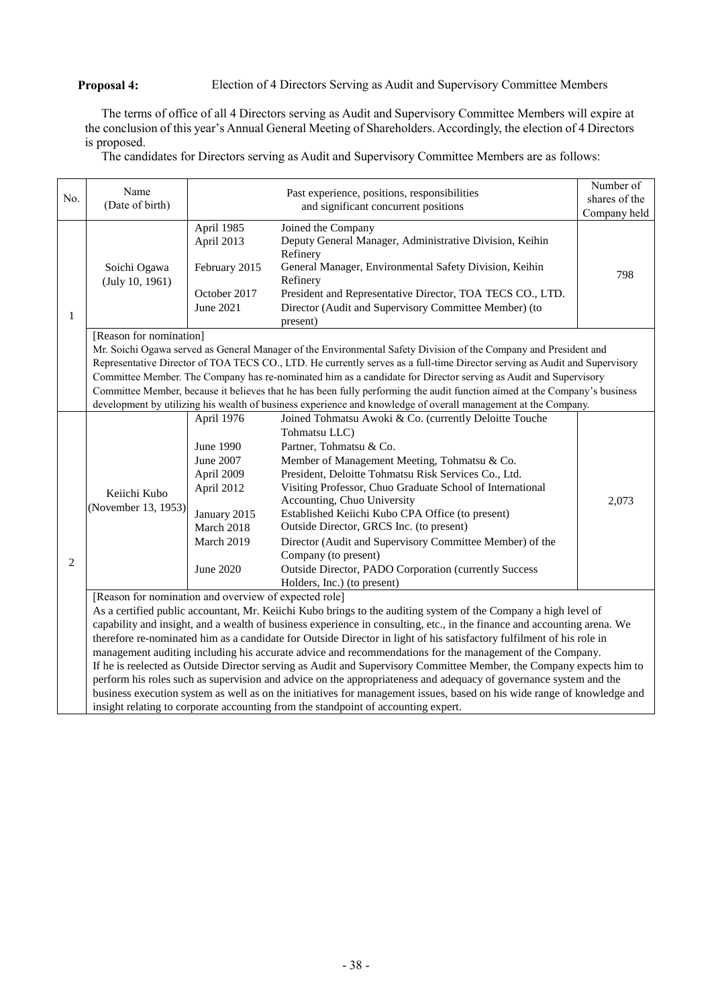#### **Proposal 4:** Election of 4 Directors Serving as Audit and Supervisory Committee Members

The terms of office of all 4 Directors serving as Audit and Supervisory Committee Members will expire at the conclusion of this year's Annual General Meeting of Shareholders. Accordingly, the election of 4 Directors is proposed.

The candidates for Directors serving as Audit and Supervisory Committee Members are as follows:

| No. | Name                                                                                                                                                                                                          |                                                                        | Past experience, positions, responsibilities                                                                                                                                                                                                                                                      | Number of<br>shares of the |
|-----|---------------------------------------------------------------------------------------------------------------------------------------------------------------------------------------------------------------|------------------------------------------------------------------------|---------------------------------------------------------------------------------------------------------------------------------------------------------------------------------------------------------------------------------------------------------------------------------------------------|----------------------------|
|     | (Date of birth)                                                                                                                                                                                               | and significant concurrent positions                                   |                                                                                                                                                                                                                                                                                                   | Company held               |
| 1   | Soichi Ogawa<br>(July 10, 1961)                                                                                                                                                                               | April 1985<br>April 2013<br>February 2015<br>October 2017<br>June 2021 | Joined the Company<br>Deputy General Manager, Administrative Division, Keihin<br>Refinery<br>General Manager, Environmental Safety Division, Keihin<br>Refinery<br>President and Representative Director, TOA TECS CO., LTD.<br>Director (Audit and Supervisory Committee Member) (to<br>present) | 798                        |
|     | [Reason for nomination]                                                                                                                                                                                       |                                                                        |                                                                                                                                                                                                                                                                                                   |                            |
|     |                                                                                                                                                                                                               |                                                                        | Mr. Soichi Ogawa served as General Manager of the Environmental Safety Division of the Company and President and                                                                                                                                                                                  |                            |
|     |                                                                                                                                                                                                               |                                                                        | Representative Director of TOA TECS CO., LTD. He currently serves as a full-time Director serving as Audit and Supervisory                                                                                                                                                                        |                            |
|     |                                                                                                                                                                                                               |                                                                        | Committee Member. The Company has re-nominated him as a candidate for Director serving as Audit and Supervisory                                                                                                                                                                                   |                            |
|     |                                                                                                                                                                                                               |                                                                        | Committee Member, because it believes that he has been fully performing the audit function aimed at the Company's business                                                                                                                                                                        |                            |
|     |                                                                                                                                                                                                               |                                                                        | development by utilizing his wealth of business experience and knowledge of overall management at the Company.                                                                                                                                                                                    |                            |
|     |                                                                                                                                                                                                               | April 1976                                                             | Joined Tohmatsu Awoki & Co. (currently Deloitte Touche                                                                                                                                                                                                                                            |                            |
|     |                                                                                                                                                                                                               |                                                                        | Tohmatsu LLC)                                                                                                                                                                                                                                                                                     |                            |
|     | Keiichi Kubo<br>(November 13, 1953)                                                                                                                                                                           | <b>June 1990</b>                                                       | Partner, Tohmatsu & Co.                                                                                                                                                                                                                                                                           |                            |
|     |                                                                                                                                                                                                               | June 2007                                                              | Member of Management Meeting, Tohmatsu & Co.                                                                                                                                                                                                                                                      |                            |
|     |                                                                                                                                                                                                               | April 2009                                                             | President, Deloitte Tohmatsu Risk Services Co., Ltd.<br>Visiting Professor, Chuo Graduate School of International                                                                                                                                                                                 |                            |
|     |                                                                                                                                                                                                               | April 2012                                                             | Accounting, Chuo University                                                                                                                                                                                                                                                                       | 2,073                      |
|     |                                                                                                                                                                                                               | January 2015                                                           | Established Keiichi Kubo CPA Office (to present)                                                                                                                                                                                                                                                  |                            |
|     |                                                                                                                                                                                                               | March 2018                                                             | Outside Director, GRCS Inc. (to present)                                                                                                                                                                                                                                                          |                            |
|     |                                                                                                                                                                                                               | March 2019                                                             | Director (Audit and Supervisory Committee Member) of the                                                                                                                                                                                                                                          |                            |
|     |                                                                                                                                                                                                               |                                                                        | Company (to present)                                                                                                                                                                                                                                                                              |                            |
| 2   |                                                                                                                                                                                                               | <b>June 2020</b>                                                       | Outside Director, PADO Corporation (currently Success                                                                                                                                                                                                                                             |                            |
|     |                                                                                                                                                                                                               |                                                                        | Holders, Inc.) (to present)                                                                                                                                                                                                                                                                       |                            |
|     | [Reason for nomination and overview of expected role]                                                                                                                                                         |                                                                        |                                                                                                                                                                                                                                                                                                   |                            |
|     | As a certified public accountant, Mr. Keiichi Kubo brings to the auditing system of the Company a high level of                                                                                               |                                                                        |                                                                                                                                                                                                                                                                                                   |                            |
|     | capability and insight, and a wealth of business experience in consulting, etc., in the finance and accounting arena. We                                                                                      |                                                                        |                                                                                                                                                                                                                                                                                                   |                            |
|     | therefore re-nominated him as a candidate for Outside Director in light of his satisfactory fulfilment of his role in                                                                                         |                                                                        |                                                                                                                                                                                                                                                                                                   |                            |
|     | management auditing including his accurate advice and recommendations for the management of the Company.                                                                                                      |                                                                        |                                                                                                                                                                                                                                                                                                   |                            |
|     | If he is reelected as Outside Director serving as Audit and Supervisory Committee Member, the Company expects him to                                                                                          |                                                                        |                                                                                                                                                                                                                                                                                                   |                            |
|     | perform his roles such as supervision and advice on the appropriateness and adequacy of governance system and the                                                                                             |                                                                        |                                                                                                                                                                                                                                                                                                   |                            |
|     | business execution system as well as on the initiatives for management issues, based on his wide range of knowledge and<br>insight relating to corporate accounting from the standpoint of accounting expert. |                                                                        |                                                                                                                                                                                                                                                                                                   |                            |
|     |                                                                                                                                                                                                               |                                                                        |                                                                                                                                                                                                                                                                                                   |                            |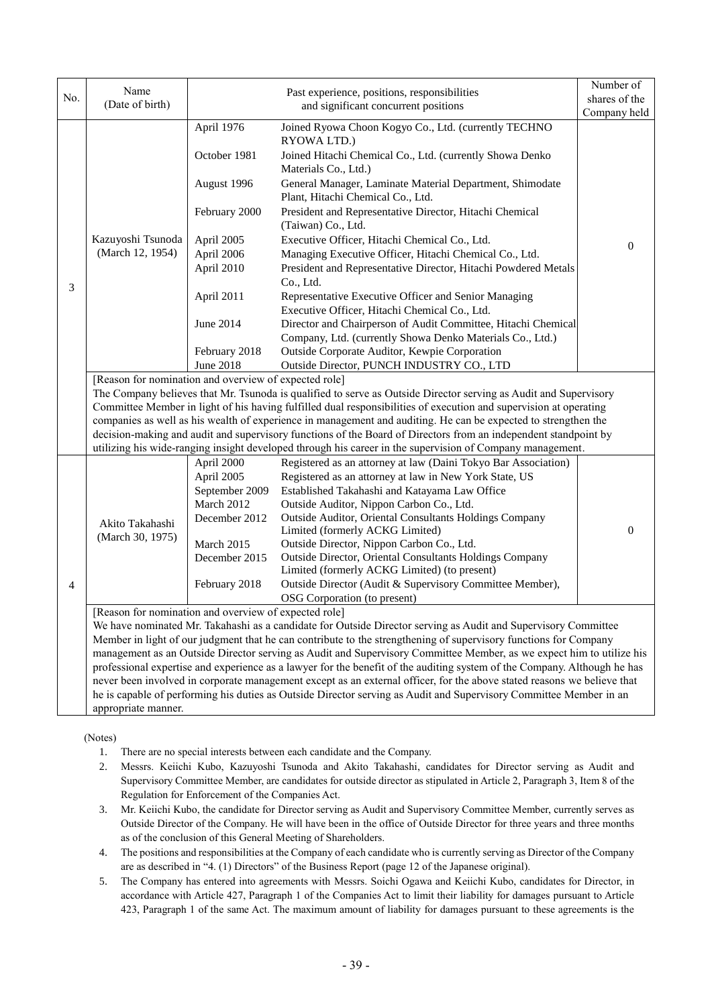|                |                                                                                                                          |                                              |                                                                                                                  | Number of     |
|----------------|--------------------------------------------------------------------------------------------------------------------------|----------------------------------------------|------------------------------------------------------------------------------------------------------------------|---------------|
| No.            | Name                                                                                                                     | Past experience, positions, responsibilities |                                                                                                                  | shares of the |
|                | (Date of birth)                                                                                                          |                                              | and significant concurrent positions                                                                             | Company held  |
|                |                                                                                                                          | April 1976                                   | Joined Ryowa Choon Kogyo Co., Ltd. (currently TECHNO<br>RYOWA LTD.)                                              |               |
|                |                                                                                                                          | October 1981                                 | Joined Hitachi Chemical Co., Ltd. (currently Showa Denko<br>Materials Co., Ltd.)                                 |               |
|                |                                                                                                                          | August 1996                                  | General Manager, Laminate Material Department, Shimodate<br>Plant, Hitachi Chemical Co., Ltd.                    |               |
|                |                                                                                                                          | February 2000                                | President and Representative Director, Hitachi Chemical<br>(Taiwan) Co., Ltd.                                    |               |
|                | Kazuyoshi Tsunoda                                                                                                        | April 2005                                   | Executive Officer, Hitachi Chemical Co., Ltd.                                                                    |               |
|                | (March 12, 1954)                                                                                                         | April 2006                                   | Managing Executive Officer, Hitachi Chemical Co., Ltd.                                                           | $\Omega$      |
|                |                                                                                                                          | April 2010                                   | President and Representative Director, Hitachi Powdered Metals<br>Co., Ltd.                                      |               |
| 3              |                                                                                                                          | April 2011                                   | Representative Executive Officer and Senior Managing                                                             |               |
|                |                                                                                                                          |                                              | Executive Officer, Hitachi Chemical Co., Ltd.                                                                    |               |
|                |                                                                                                                          | June 2014                                    | Director and Chairperson of Audit Committee, Hitachi Chemical                                                    |               |
|                |                                                                                                                          |                                              | Company, Ltd. (currently Showa Denko Materials Co., Ltd.)                                                        |               |
|                |                                                                                                                          | February 2018                                | Outside Corporate Auditor, Kewpie Corporation                                                                    |               |
|                |                                                                                                                          | June 2018                                    | Outside Director, PUNCH INDUSTRY CO., LTD                                                                        |               |
|                | [Reason for nomination and overview of expected role]                                                                    |                                              |                                                                                                                  |               |
|                |                                                                                                                          |                                              | The Company believes that Mr. Tsunoda is qualified to serve as Outside Director serving as Audit and Supervisory |               |
|                | Committee Member in light of his having fulfilled dual responsibilities of execution and supervision at operating        |                                              |                                                                                                                  |               |
|                | companies as well as his wealth of experience in management and auditing. He can be expected to strengthen the           |                                              |                                                                                                                  |               |
|                |                                                                                                                          |                                              | decision-making and audit and supervisory functions of the Board of Directors from an independent standpoint by  |               |
|                |                                                                                                                          |                                              | utilizing his wide-ranging insight developed through his career in the supervision of Company management.        |               |
|                |                                                                                                                          | April 2000                                   | Registered as an attorney at law (Daini Tokyo Bar Association)                                                   |               |
|                |                                                                                                                          | April 2005                                   | Registered as an attorney at law in New York State, US                                                           |               |
|                | Akito Takahashi<br>(March 30, 1975)                                                                                      | September 2009                               | Established Takahashi and Katayama Law Office                                                                    |               |
|                |                                                                                                                          | March 2012                                   | Outside Auditor, Nippon Carbon Co., Ltd.                                                                         |               |
|                |                                                                                                                          | December 2012                                | Outside Auditor, Oriental Consultants Holdings Company                                                           |               |
|                |                                                                                                                          |                                              | Limited (formerly ACKG Limited)                                                                                  | $\theta$      |
|                |                                                                                                                          | March 2015<br>December 2015                  | Outside Director, Nippon Carbon Co., Ltd.<br>Outside Director, Oriental Consultants Holdings Company             |               |
|                |                                                                                                                          |                                              | Limited (formerly ACKG Limited) (to present)                                                                     |               |
| $\overline{4}$ |                                                                                                                          | February 2018                                | Outside Director (Audit & Supervisory Committee Member),                                                         |               |
|                |                                                                                                                          |                                              | OSG Corporation (to present)                                                                                     |               |
|                | [Reason for nomination and overview of expected role]                                                                    |                                              |                                                                                                                  |               |
|                | We have nominated Mr. Takahashi as a candidate for Outside Director serving as Audit and Supervisory Committee           |                                              |                                                                                                                  |               |
|                | Member in light of our judgment that he can contribute to the strengthening of supervisory functions for Company         |                                              |                                                                                                                  |               |
|                | management as an Outside Director serving as Audit and Supervisory Committee Member, as we expect him to utilize his     |                                              |                                                                                                                  |               |
|                | professional expertise and experience as a lawyer for the benefit of the auditing system of the Company. Although he has |                                              |                                                                                                                  |               |
|                | never been involved in corporate management except as an external officer, for the above stated reasons we believe that  |                                              |                                                                                                                  |               |
|                | he is capable of performing his duties as Outside Director serving as Audit and Supervisory Committee Member in an       |                                              |                                                                                                                  |               |
|                | appropriate manner.                                                                                                      |                                              |                                                                                                                  |               |

(Notes)

- 1. There are no special interests between each candidate and the Company.
- 2. Messrs. Keiichi Kubo, Kazuyoshi Tsunoda and Akito Takahashi, candidates for Director serving as Audit and Supervisory Committee Member, are candidates for outside director as stipulated in Article 2, Paragraph 3, Item 8 of the Regulation for Enforcement of the Companies Act.
- 3. Mr. Keiichi Kubo, the candidate for Director serving as Audit and Supervisory Committee Member, currently serves as Outside Director of the Company. He will have been in the office of Outside Director for three years and three months as of the conclusion of this General Meeting of Shareholders.
- 4. The positions and responsibilities at the Company of each candidate who is currently serving as Director of the Company are as described in "4. (1) Directors" of the Business Report (page 12 of the Japanese original).
- 5. The Company has entered into agreements with Messrs. Soichi Ogawa and Keiichi Kubo, candidates for Director, in accordance with Article 427, Paragraph 1 of the Companies Act to limit their liability for damages pursuant to Article 423, Paragraph 1 of the same Act. The maximum amount of liability for damages pursuant to these agreements is the